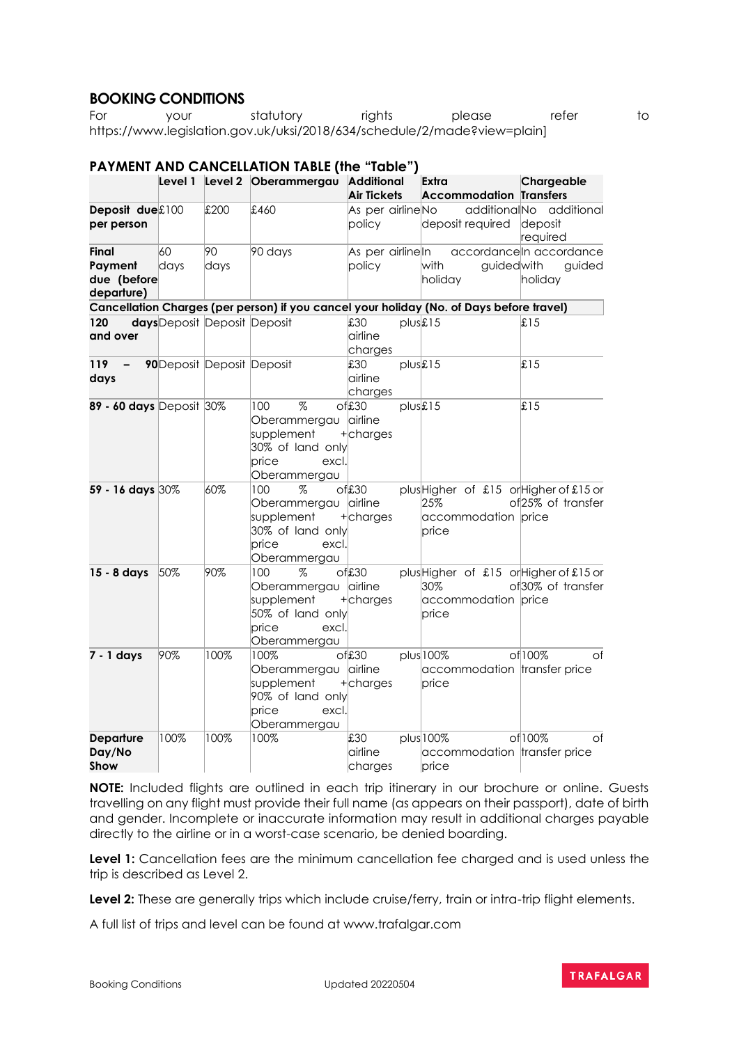# **BOOKING CONDITIONS**<br>For your

For your statutory rights please refer to https://www.legislation.gov.uk/uksi/2018/634/schedule/2/made?view=plain]

|                                               |            |                              | <b>PAYMENT AND CANCELLATION TABLE (the "Table")</b>                                                     |                               |                                                                                          |                                               |
|-----------------------------------------------|------------|------------------------------|---------------------------------------------------------------------------------------------------------|-------------------------------|------------------------------------------------------------------------------------------|-----------------------------------------------|
|                                               |            |                              | Level 1 Level 2 Oberammergau Additional                                                                 | <b>Air Tickets</b>            | Extra<br><b>Accommodation Transfers</b>                                                  | Chargeable                                    |
| Deposit due£100<br>per person                 |            | £200                         | £460                                                                                                    | As per airlineNo<br>policy    | additionalNo<br>deposit required                                                         | additional<br>deposit<br>required             |
| Final<br>Payment<br>due (before<br>departure) | 60<br>days | 90<br>days                   | 90 days                                                                                                 | As per airline In<br>policy   | with<br>guidedwith<br>holiday                                                            | accordancelln accordance<br>guided<br>holiday |
|                                               |            |                              |                                                                                                         |                               | Cancellation Charges (per person) if you cancel your holiday (No. of Days before travel) |                                               |
| 120<br>and over                               |            | days Deposit Deposit Deposit |                                                                                                         | £30<br>airline<br>charges     | plus £15                                                                                 | £15                                           |
| 119<br>$\qquad \qquad -$<br>days              |            | 90 Deposit Deposit Deposit   |                                                                                                         | £30<br>airline<br>charges     | plus <sub>£15</sub>                                                                      | £15                                           |
| 89 - 60 days Deposit 30%                      |            |                              | %<br>100<br>Oberammergau<br>supplement<br>30% of land only<br>price<br>excl.<br>Oberammergau            | of £30<br>airline<br>+charges | plus £15                                                                                 | $\textsterling}15$                            |
| 59 - 16 days 30%                              |            | 60%                          | 100<br>$\%$<br>Oberammergau airline<br>supplement<br>30% of land only<br>price<br>excl.<br>Oberammergau | of £30<br>+charges            | plusHigher of £15 or Higher of £15 or<br>25%<br>accommodation price<br>price             | of <sub>25%</sub> of transfer                 |
| 15 - 8 days                                   | 50%        | 90%                          | %<br>100<br>Oberammergau airline<br>supplement<br>50% of land only<br>price<br>excl.<br>Oberammergau    | of £30<br>$+$ charges         | plusHigher of £15 or Higher of £15 or<br>30%<br>accommodation price<br>price             | of 30% of transfer                            |
| 7 - 1 days                                    | 90%        | 100%                         | 100%<br>Oberammergau airline<br>supplement<br>90% of land only<br>price<br>excl.<br>Oberammergau        | of £30<br>+charges            | plus 100%<br>accommodation transfer price<br>price                                       | of 100%<br>Оf                                 |
| <b>Departure</b><br>Day/No<br>Show            | 100%       | 100%                         | 100%                                                                                                    | £30<br>lairline<br>charges    | plus 100%<br>accommodation transfer price<br>price                                       | of 100%<br>of                                 |

**NOTE:** Included flights are outlined in each trip itinerary in our brochure or online. Guests travelling on any flight must provide their full name (as appears on their passport), date of birth and gender. Incomplete or inaccurate information may result in additional charges payable directly to the airline or in a worst-case scenario, be denied boarding.

Level 1: Cancellation fees are the minimum cancellation fee charged and is used unless the trip is described as Level 2.

**Level 2:** These are generally trips which include cruise/ferry, train or intra-trip flight elements.

A full list of trips and level can be found at www.trafalgar.com

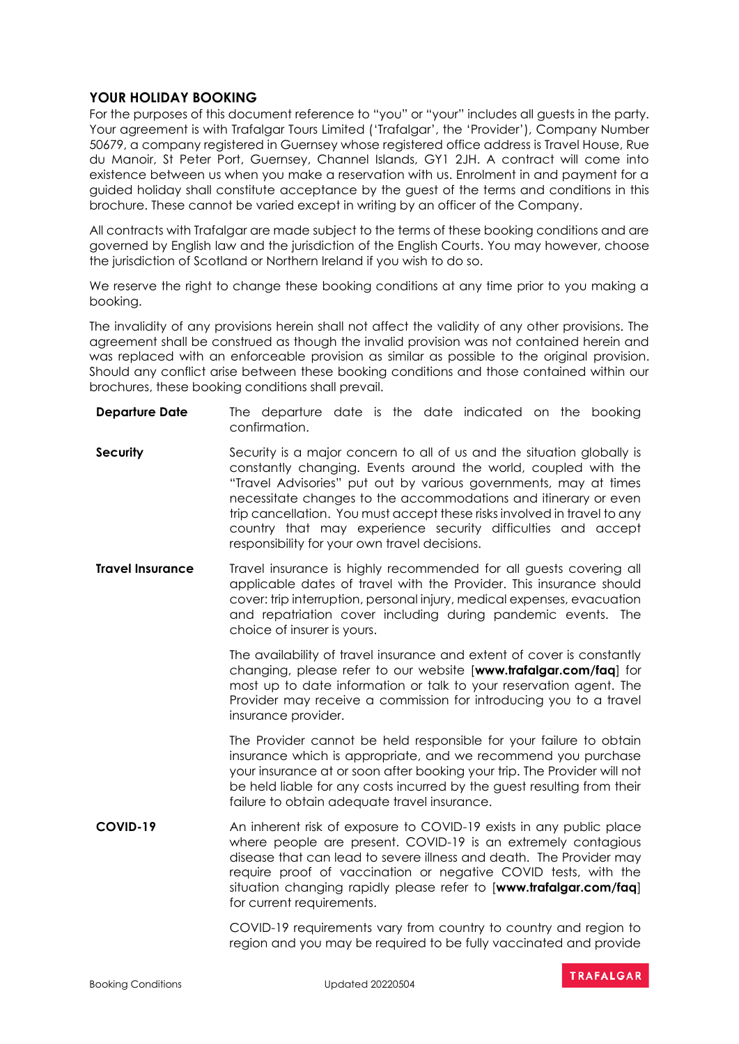## **YOUR HOLIDAY BOOKING**

For the purposes of this document reference to "you" or "your" includes all guests in the party. Your agreement is with Trafalgar Tours Limited ('Trafalgar', the 'Provider'), Company Number 50679, a company registered in Guernsey whose registered office address is Travel House, Rue du Manoir, St Peter Port, Guernsey, Channel Islands, GY1 2JH. A contract will come into existence between us when you make a reservation with us. Enrolment in and payment for a guided holiday shall constitute acceptance by the guest of the terms and conditions in this brochure. These cannot be varied except in writing by an officer of the Company.

All contracts with Trafalgar are made subject to the terms of these booking conditions and are governed by English law and the jurisdiction of the English Courts. You may however, choose the jurisdiction of Scotland or Northern Ireland if you wish to do so.

We reserve the right to change these booking conditions at any time prior to you making a booking.

The invalidity of any provisions herein shall not affect the validity of any other provisions. The agreement shall be construed as though the invalid provision was not contained herein and was replaced with an enforceable provision as similar as possible to the original provision. Should any conflict arise between these booking conditions and those contained within our brochures, these booking conditions shall prevail.

- **Departure Date** The departure date is the date indicated on the booking confirmation.
- **Security** Security is a major concern to all of us and the situation globally is constantly changing. Events around the world, coupled with the "Travel Advisories" put out by various governments, may at times necessitate changes to the accommodations and itinerary or even trip cancellation. You must accept these risks involved in travel to any country that may experience security difficulties and accept responsibility for your own travel decisions.
- **Travel Insurance** Travel insurance is highly recommended for all guests covering all applicable dates of travel with the Provider. This insurance should cover: trip interruption, personal injury, medical expenses, evacuation and repatriation cover including during pandemic events. The choice of insurer is yours.

The availability of travel insurance and extent of cover is constantly changing, please refer to our website [**www.trafalgar.com/faq**] for most up to date information or talk to your reservation agent. The Provider may receive a commission for introducing you to a travel insurance provider.

The Provider cannot be held responsible for your failure to obtain insurance which is appropriate, and we recommend you purchase your insurance at or soon after booking your trip. The Provider will not be held liable for any costs incurred by the guest resulting from their failure to obtain adequate travel insurance.

**COVID-19** An inherent risk of exposure to COVID-19 exists in any public place where people are present. COVID-19 is an extremely contagious disease that can lead to severe illness and death. The Provider may require proof of vaccination or negative COVID tests, with the situation changing rapidly please refer to [**www.trafalgar.com/faq**] for current requirements.

> COVID-19 requirements vary from country to country and region to region and you may be required to be fully vaccinated and provide

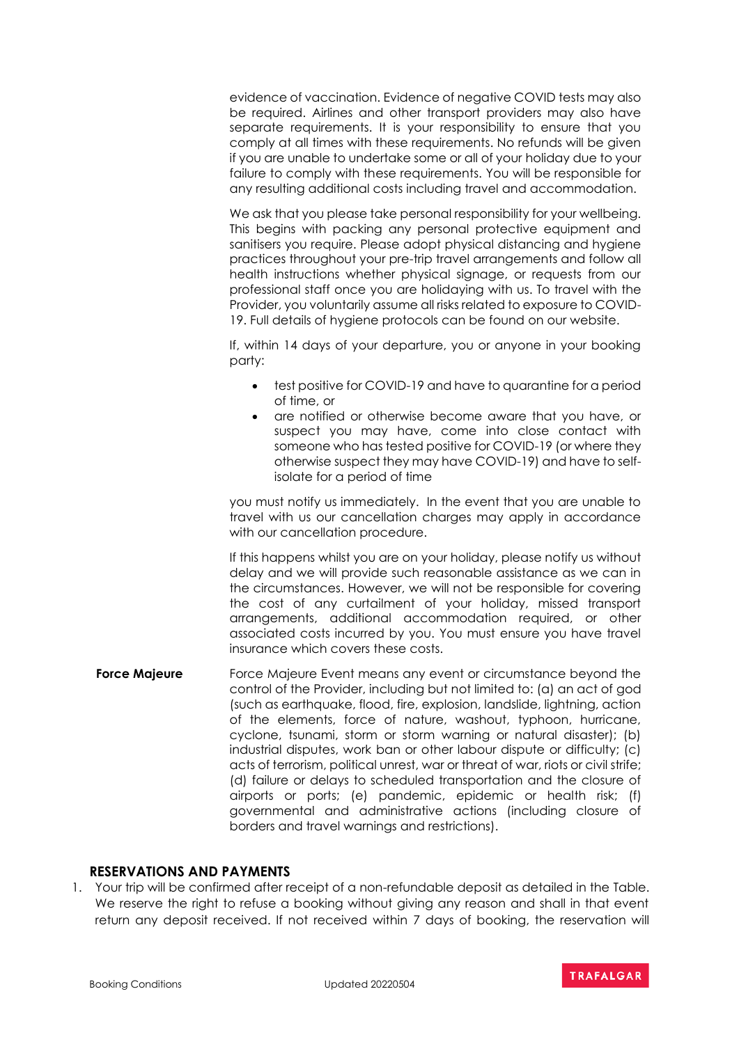evidence of vaccination. Evidence of negative COVID tests may also be required. Airlines and other transport providers may also have separate requirements. It is your responsibility to ensure that you comply at all times with these requirements. No refunds will be given if you are unable to undertake some or all of your holiday due to your failure to comply with these requirements. You will be responsible for any resulting additional costs including travel and accommodation.

We ask that you please take personal responsibility for your wellbeing. This begins with packing any personal protective equipment and sanitisers you require. Please adopt physical distancing and hygiene practices throughout your pre-trip travel arrangements and follow all health instructions whether physical signage, or requests from our professional staff once you are holidaying with us. To travel with the Provider, you voluntarily assume all risks related to exposure to COVID-19. Full details of hygiene protocols can be found on our website.

If, within 14 days of your departure, you or anyone in your booking party:

- test positive for COVID-19 and have to quarantine for a period of time, or
- are notified or otherwise become aware that you have, or suspect you may have, come into close contact with someone who has tested positive for COVID-19 (or where they otherwise suspect they may have COVID-19) and have to selfisolate for a period of time

you must notify us immediately. In the event that you are unable to travel with us our cancellation charges may apply in accordance with our cancellation procedure.

If this happens whilst you are on your holiday, please notify us without delay and we will provide such reasonable assistance as we can in the circumstances. However, we will not be responsible for covering the cost of any curtailment of your holiday, missed transport arrangements, additional accommodation required, or other associated costs incurred by you. You must ensure you have travel insurance which covers these costs.

**Force Majeure** Force Majeure Event means any event or circumstance beyond the control of the Provider, including but not limited to: (a) an act of god (such as earthquake, flood, fire, explosion, landslide, lightning, action of the elements, force of nature, washout, typhoon, hurricane, cyclone, tsunami, storm or storm warning or natural disaster); (b) industrial disputes, work ban or other labour dispute or difficulty; (c) acts of terrorism, political unrest, war or threat of war, riots or civil strife; (d) failure or delays to scheduled transportation and the closure of airports or ports; (e) pandemic, epidemic or health risk; (f) governmental and administrative actions (including closure of borders and travel warnings and restrictions).

## **RESERVATIONS AND PAYMENTS**

1. Your trip will be confirmed after receipt of a non-refundable deposit as detailed in the Table. We reserve the right to refuse a booking without giving any reason and shall in that event return any deposit received. If not received within 7 days of booking, the reservation will

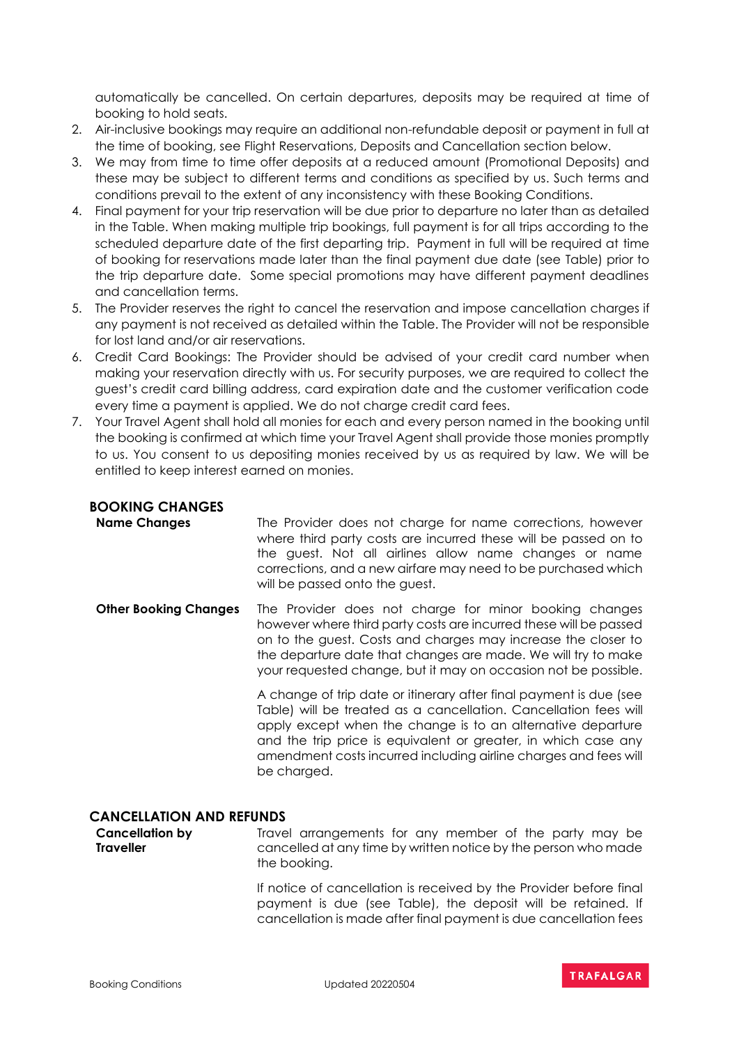automatically be cancelled. On certain departures, deposits may be required at time of booking to hold seats.

- 2. Air-inclusive bookings may require an additional non-refundable deposit or payment in full at the time of booking, see Flight Reservations, Deposits and Cancellation section below.
- 3. We may from time to time offer deposits at a reduced amount (Promotional Deposits) and these may be subject to different terms and conditions as specified by us. Such terms and conditions prevail to the extent of any inconsistency with these Booking Conditions.
- 4. Final payment for your trip reservation will be due prior to departure no later than as detailed in the Table. When making multiple trip bookings, full payment is for all trips according to the scheduled departure date of the first departing trip. Payment in full will be required at time of booking for reservations made later than the final payment due date (see Table) prior to the trip departure date. Some special promotions may have different payment deadlines and cancellation terms.
- 5. The Provider reserves the right to cancel the reservation and impose cancellation charges if any payment is not received as detailed within the Table. The Provider will not be responsible for lost land and/or air reservations.
- 6. Credit Card Bookings: The Provider should be advised of your credit card number when making your reservation directly with us. For security purposes, we are required to collect the guest's credit card billing address, card expiration date and the customer verification code every time a payment is applied. We do not charge credit card fees.
- 7. Your Travel Agent shall hold all monies for each and every person named in the booking until the booking is confirmed at which time your Travel Agent shall provide those monies promptly to us. You consent to us depositing monies received by us as required by law. We will be entitled to keep interest earned on monies.

## **BOOKING CHANGES**

| <b>Name Changes</b> | The Provider does not charge for name corrections, however<br>where third party costs are incurred these will be passed on to<br>the guest. Not all airlines allow name changes or name<br>corrections, and a new airfare may need to be purchased which<br>will be passed onto the guest. |
|---------------------|--------------------------------------------------------------------------------------------------------------------------------------------------------------------------------------------------------------------------------------------------------------------------------------------|
|                     |                                                                                                                                                                                                                                                                                            |

**Other Booking Changes** The Provider does not charge for minor booking changes however where third party costs are incurred these will be passed on to the guest. Costs and charges may increase the closer to the departure date that changes are made. We will try to make your requested change, but it may on occasion not be possible.

> A change of trip date or itinerary after final payment is due (see Table) will be treated as a cancellation. Cancellation fees will apply except when the change is to an alternative departure and the trip price is equivalent or greater, in which case any amendment costs incurred including airline charges and fees will be charged.

## **CANCELLATION AND REFUNDS**

**Cancellation by Traveller** Travel arrangements for any member of the party may be cancelled at any time by written notice by the person who made the booking.

> If notice of cancellation is received by the Provider before final payment is due (see Table), the deposit will be retained. If cancellation is made after final payment is due cancellation fees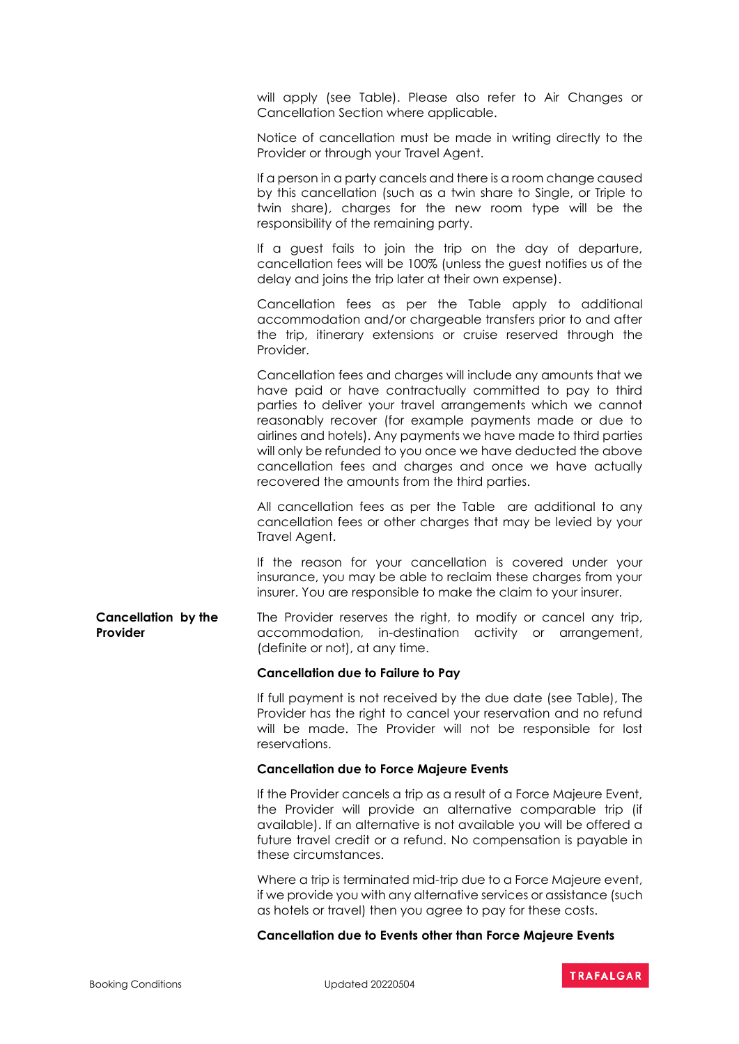will apply (see Table). Please also refer to Air Changes or Cancellation Section where applicable.

Notice of cancellation must be made in writing directly to the Provider or through your Travel Agent.

If a person in a party cancels and there is a room change caused by this cancellation (such as a twin share to Single, or Triple to twin share), charges for the new room type will be the responsibility of the remaining party.

If a guest fails to join the trip on the day of departure, cancellation fees will be 100% (unless the guest notifies us of the delay and joins the trip later at their own expense).

Cancellation fees as per the Table apply to additional accommodation and/or chargeable transfers prior to and after the trip, itinerary extensions or cruise reserved through the Provider.

Cancellation fees and charges will include any amounts that we have paid or have contractually committed to pay to third parties to deliver your travel arrangements which we cannot reasonably recover (for example payments made or due to airlines and hotels). Any payments we have made to third parties will only be refunded to you once we have deducted the above cancellation fees and charges and once we have actually recovered the amounts from the third parties.

All cancellation fees as per the Table are additional to any cancellation fees or other charges that may be levied by your Travel Agent.

If the reason for your cancellation is covered under your insurance, you may be able to reclaim these charges from your insurer. You are responsible to make the claim to your insurer.

#### **Cancellation by the Provider** The Provider reserves the right, to modify or cancel any trip, accommodation, in-destination activity or arrangement, (definite or not), at any time.

#### **Cancellation due to Failure to Pay**

If full payment is not received by the due date (see Table), The Provider has the right to cancel your reservation and no refund will be made. The Provider will not be responsible for lost reservations.

#### **Cancellation due to Force Majeure Events**

If the Provider cancels a trip as a result of a Force Majeure Event, the Provider will provide an alternative comparable trip (if available). If an alternative is not available you will be offered a future travel credit or a refund. No compensation is payable in these circumstances.

Where a trip is terminated mid-trip due to a Force Majeure event, if we provide you with any alternative services or assistance (such as hotels or travel) then you agree to pay for these costs.

#### **Cancellation due to Events other than Force Majeure Events**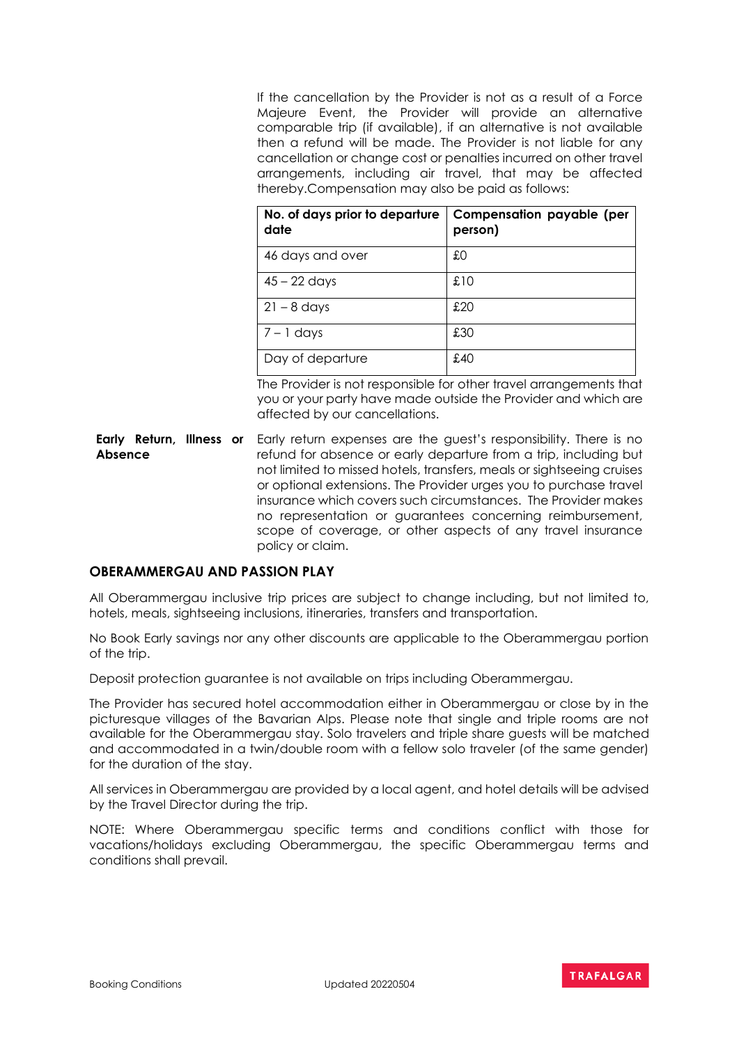If the cancellation by the Provider is not as a result of a Force Majeure Event, the Provider will provide an alternative comparable trip (if available), if an alternative is not available then a refund will be made. The Provider is not liable for any cancellation or change cost or penalties incurred on other travel arrangements, including air travel, that may be affected thereby.Compensation may also be paid as follows:

| No. of days prior to departure<br>date | <b>Compensation payable (per</b><br>person) |
|----------------------------------------|---------------------------------------------|
| 46 days and over                       | £О                                          |
| $45 - 22$ days                         | £10                                         |
| $21 - 8$ days                          | £20                                         |
| 7 – 1 days                             | £30                                         |
| Day of departure                       | £40                                         |

The Provider is not responsible for other travel arrangements that you or your party have made outside the Provider and which are affected by our cancellations.

**Early Return, Illness or** Early return expenses are the guest's responsibility. There is no **Absence** refund for absence or early departure from a trip, including but not limited to missed hotels, transfers, meals or sightseeing cruises or optional extensions. The Provider urges you to purchase travel insurance which covers such circumstances. The Provider makes no representation or guarantees concerning reimbursement, scope of coverage, or other aspects of any travel insurance policy or claim.

## **OBERAMMERGAU AND PASSION PLAY**

All Oberammergau inclusive trip prices are subject to change including, but not limited to, hotels, meals, sightseeing inclusions, itineraries, transfers and transportation.

No Book Early savings nor any other discounts are applicable to the Oberammergau portion of the trip.

Deposit protection guarantee is not available on trips including Oberammergau.

The Provider has secured hotel accommodation either in Oberammergau or close by in the picturesque villages of the Bavarian Alps. Please note that single and triple rooms are not available for the Oberammergau stay. Solo travelers and triple share guests will be matched and accommodated in a twin/double room with a fellow solo traveler (of the same gender) for the duration of the stay.

All services in Oberammergau are provided by a local agent, and hotel details will be advised by the Travel Director during the trip.

NOTE: Where Oberammergau specific terms and conditions conflict with those for vacations/holidays excluding Oberammergau, the specific Oberammergau terms and conditions shall prevail.

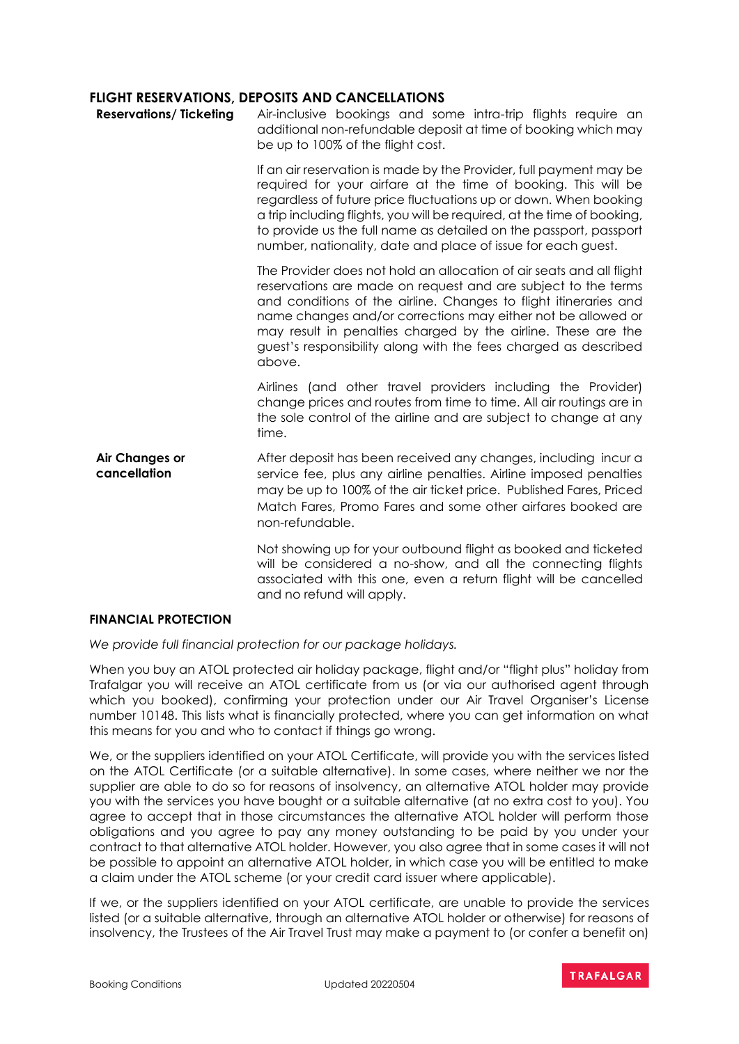## **FLIGHT RESERVATIONS, DEPOSITS AND CANCELLATIONS**

| <b>Reservations/Ticketing</b>         | Air-inclusive bookings and some intra-trip flights require an<br>additional non-refundable deposit at time of booking which may<br>be up to 100% of the flight cost.                                                                                                                                                                                                                                                     |
|---------------------------------------|--------------------------------------------------------------------------------------------------------------------------------------------------------------------------------------------------------------------------------------------------------------------------------------------------------------------------------------------------------------------------------------------------------------------------|
|                                       | If an air reservation is made by the Provider, full payment may be<br>required for your airfare at the time of booking. This will be<br>regardless of future price fluctuations up or down. When booking<br>a trip including flights, you will be required, at the time of booking,<br>to provide us the full name as detailed on the passport, passport<br>number, nationality, date and place of issue for each guest. |
|                                       | The Provider does not hold an allocation of air seats and all flight<br>reservations are made on request and are subject to the terms<br>and conditions of the airline. Changes to flight itineraries and<br>name changes and/or corrections may either not be allowed or<br>may result in penalties charged by the airline. These are the<br>guest's responsibility along with the fees charged as described<br>above.  |
|                                       | Airlines (and other travel providers including the Provider)<br>change prices and routes from time to time. All air routings are in<br>the sole control of the airline and are subject to change at any<br>time.                                                                                                                                                                                                         |
| <b>Air Changes or</b><br>cancellation | After deposit has been received any changes, including incur a<br>service fee, plus any airline penalties. Airline imposed penalties<br>may be up to 100% of the air ticket price. Published Fares, Priced<br>Match Fares, Promo Fares and some other airfares booked are<br>non-refundable.                                                                                                                             |
|                                       | Not showing up for your outbound flight as booked and ticketed<br>will be considered a no-show, and all the connecting flights<br>associated with this one, even a return flight will be cancelled<br>and no refund will apply.                                                                                                                                                                                          |

#### **FINANCIAL PROTECTION**

*We provide full financial protection for our package holidays.* 

When you buy an ATOL protected air holiday package, flight and/or "flight plus" holiday from Trafalgar you will receive an ATOL certificate from us (or via our authorised agent through which you booked), confirming your protection under our Air Travel Organiser's License number 10148. This lists what is financially protected, where you can get information on what this means for you and who to contact if things go wrong.

We, or the suppliers identified on your ATOL Certificate, will provide you with the services listed on the ATOL Certificate (or a suitable alternative). In some cases, where neither we nor the supplier are able to do so for reasons of insolvency, an alternative ATOL holder may provide you with the services you have bought or a suitable alternative (at no extra cost to you). You agree to accept that in those circumstances the alternative ATOL holder will perform those obligations and you agree to pay any money outstanding to be paid by you under your contract to that alternative ATOL holder. However, you also agree that in some cases it will not be possible to appoint an alternative ATOL holder, in which case you will be entitled to make a claim under the ATOL scheme (or your credit card issuer where applicable).

If we, or the suppliers identified on your ATOL certificate, are unable to provide the services listed (or a suitable alternative, through an alternative ATOL holder or otherwise) for reasons of insolvency, the Trustees of the Air Travel Trust may make a payment to (or confer a benefit on)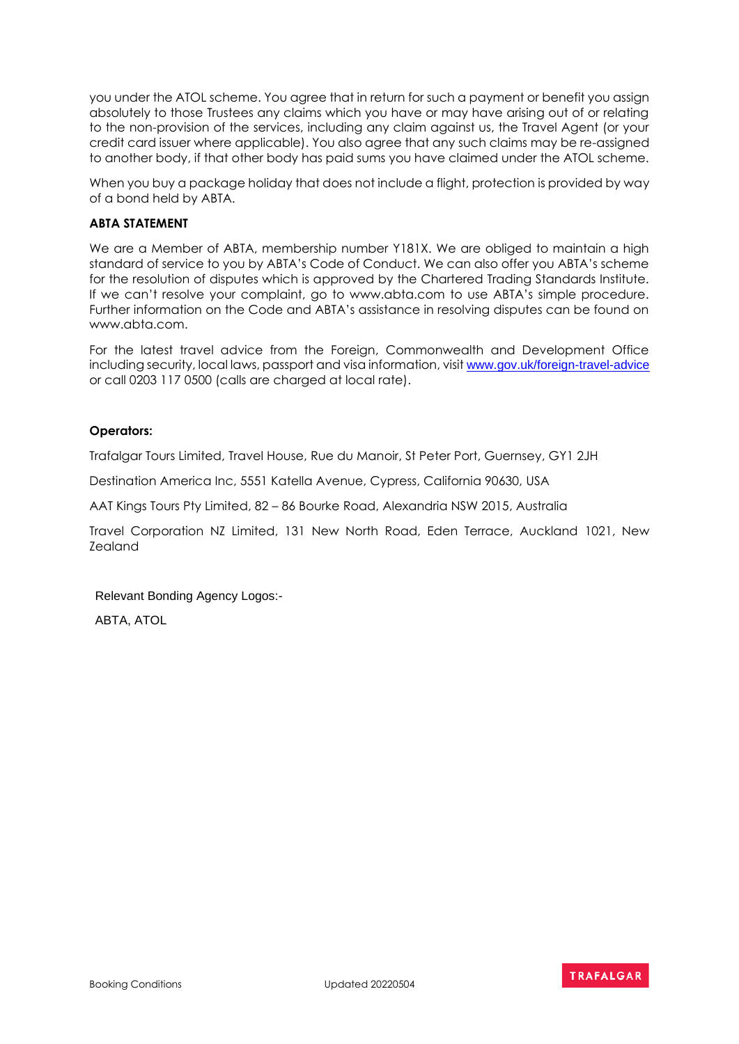you under the ATOL scheme. You agree that in return for such a payment or benefit you assign absolutely to those Trustees any claims which you have or may have arising out of or relating to the non-provision of the services, including any claim against us, the Travel Agent (or your credit card issuer where applicable). You also agree that any such claims may be re-assigned to another body, if that other body has paid sums you have claimed under the ATOL scheme.

When you buy a package holiday that does not include a flight, protection is provided by way of a bond held by ABTA.

## **ABTA STATEMENT**

We are a Member of ABTA, membership number Y181X. We are obliged to maintain a high standard of service to you by ABTA's Code of Conduct. We can also offer you ABTA's scheme for the resolution of disputes which is approved by the Chartered Trading Standards Institute. If we can't resolve your complaint, go to www.abta.com to use ABTA's simple procedure. Further information on the Code and ABTA's assistance in resolving disputes can be found on [www.abta.com.](http://www.abta.com/)

For the latest travel advice from the Foreign, Commonwealth and Development Office including security, local laws, passport and visa information, visit [www.gov.uk/foreign-travel-advice](http://www.gov.uk/foreign-travel-advice) or call 0203 117 0500 (calls are charged at local rate).

## **Operators:**

Trafalgar Tours Limited, Travel House, Rue du Manoir, St Peter Port, Guernsey, GY1 2JH

Destination America Inc, 5551 Katella Avenue, Cypress, California 90630, USA

AAT Kings Tours Pty Limited, 82 – 86 Bourke Road, Alexandria NSW 2015, Australia

Travel Corporation NZ Limited, 131 New North Road, Eden Terrace, Auckland 1021, New Zealand

Relevant Bonding Agency Logos:-

ABTA, ATOL

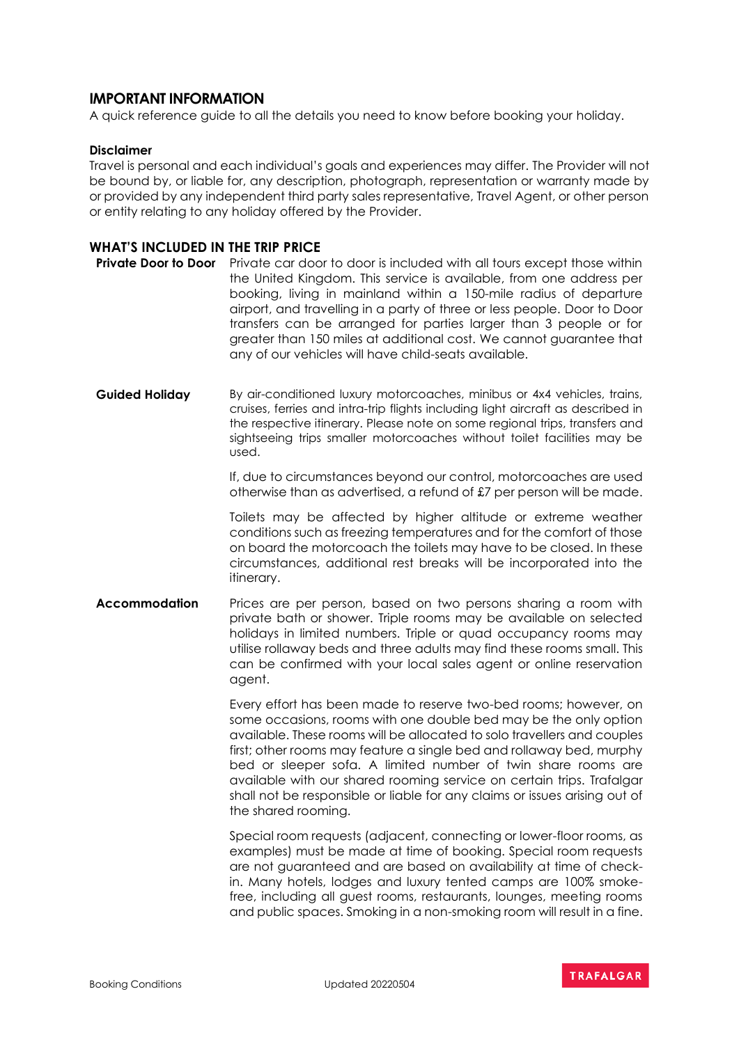## **IMPORTANT INFORMATION**

A quick reference guide to all the details you need to know before booking your holiday.

## **Disclaimer**

Travel is personal and each individual's goals and experiences may differ. The Provider will not be bound by, or liable for, any description, photograph, representation or warranty made by or provided by any independent third party sales representative, Travel Agent, or other person or entity relating to any holiday offered by the Provider.

## **WHAT'S INCLUDED IN THE TRIP PRICE**

- **Private Door to Door** Private car door to door is included with all tours except those within the United Kingdom. This service is available, from one address per booking, living in mainland within a 150-mile radius of departure airport, and travelling in a party of three or less people. Door to Door transfers can be arranged for parties larger than 3 people or for greater than 150 miles at additional cost. We cannot guarantee that any of our vehicles will have child-seats available.
- **Guided Holiday** By air-conditioned luxury motorcoaches, minibus or 4x4 vehicles, trains, cruises, ferries and intra-trip flights including light aircraft as described in the respective itinerary. Please note on some regional trips, transfers and sightseeing trips smaller motorcoaches without toilet facilities may be used.

If, due to circumstances beyond our control, motorcoaches are used otherwise than as advertised, a refund of £7 per person will be made.

Toilets may be affected by higher altitude or extreme weather conditions such as freezing temperatures and for the comfort of those on board the motorcoach the toilets may have to be closed. In these circumstances, additional rest breaks will be incorporated into the itinerary.

**Accommodation** Prices are per person, based on two persons sharing a room with private bath or shower. Triple rooms may be available on selected holidays in limited numbers. Triple or quad occupancy rooms may utilise rollaway beds and three adults may find these rooms small. This can be confirmed with your local sales agent or online reservation agent.

> Every effort has been made to reserve two-bed rooms; however, on some occasions, rooms with one double bed may be the only option available. These rooms will be allocated to solo travellers and couples first; other rooms may feature a single bed and rollaway bed, murphy bed or sleeper sofa. A limited number of twin share rooms are available with our shared rooming service on certain trips. Trafalgar shall not be responsible or liable for any claims or issues arising out of the shared rooming.

> Special room requests (adjacent, connecting or lower-floor rooms, as examples) must be made at time of booking. Special room requests are not guaranteed and are based on availability at time of checkin. Many hotels, lodges and luxury tented camps are 100% smokefree, including all guest rooms, restaurants, lounges, meeting rooms and public spaces. Smoking in a non-smoking room will result in a fine.

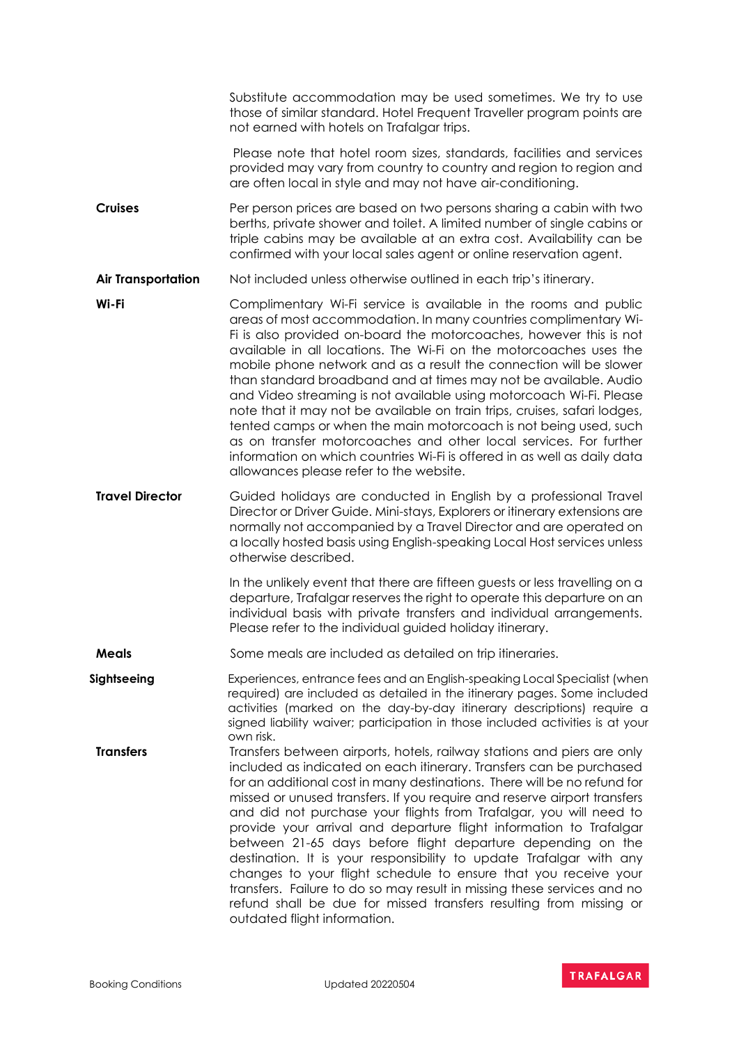Substitute accommodation may be used sometimes. We try to use those of similar standard. Hotel Frequent Traveller program points are not earned with hotels on Trafalgar trips.

Please note that hotel room sizes, standards, facilities and services provided may vary from country to country and region to region and are often local in style and may not have air-conditioning.

- **Cruises** Per person prices are based on two persons sharing a cabin with two berths, private shower and toilet. A limited number of single cabins or triple cabins may be available at an extra cost. Availability can be confirmed with your local sales agent or online reservation agent.
- **Air Transportation** Not included unless otherwise outlined in each trip's itinerary.
- **Wi-Fi Wi-Fi Complimentary Wi-Fi service is available in the rooms and public** areas of most accommodation. In many countries complimentary Wi-Fi is also provided on-board the motorcoaches, however this is not available in all locations. The Wi-Fi on the motorcoaches uses the mobile phone network and as a result the connection will be slower than standard broadband and at times may not be available. Audio and Video streaming is not available using motorcoach Wi-Fi. Please note that it may not be available on train trips, cruises, safari lodges, tented camps or when the main motorcoach is not being used, such as on transfer motorcoaches and other local services. For further information on which countries Wi-Fi is offered in as well as daily data allowances please refer to the website.
- **Travel Director** Guided holidays are conducted in English by a professional Travel Director or Driver Guide. Mini-stays, Explorers or itinerary extensions are normally not accompanied by a Travel Director and are operated on a locally hosted basis using English-speaking Local Host services unless otherwise described.

In the unlikely event that there are fifteen guests or less travelling on a departure, Trafalgar reserves the right to operate this departure on an individual basis with private transfers and individual arrangements. Please refer to the individual guided holiday itinerary.

- **Meals** Some meals are included as detailed on trip itineraries.
- **Sightseeing** Experiences, entrance fees and an English-speaking Local Specialist (when required) are included as detailed in the itinerary pages. Some included activities (marked on the day-by-day itinerary descriptions) require a signed liability waiver; participation in those included activities is at your own risk.
- **Transfers** Transfers between airports, hotels, railway stations and piers are only included as indicated on each itinerary. Transfers can be purchased for an additional cost in many destinations. There will be no refund for missed or unused transfers. If you require and reserve airport transfers and did not purchase your flights from Trafalgar, you will need to provide your arrival and departure flight information to Trafalgar between 21-65 days before flight departure depending on the destination. It is your responsibility to update Trafalgar with any changes to your flight schedule to ensure that you receive your transfers. Failure to do so may result in missing these services and no refund shall be due for missed transfers resulting from missing or outdated flight information.

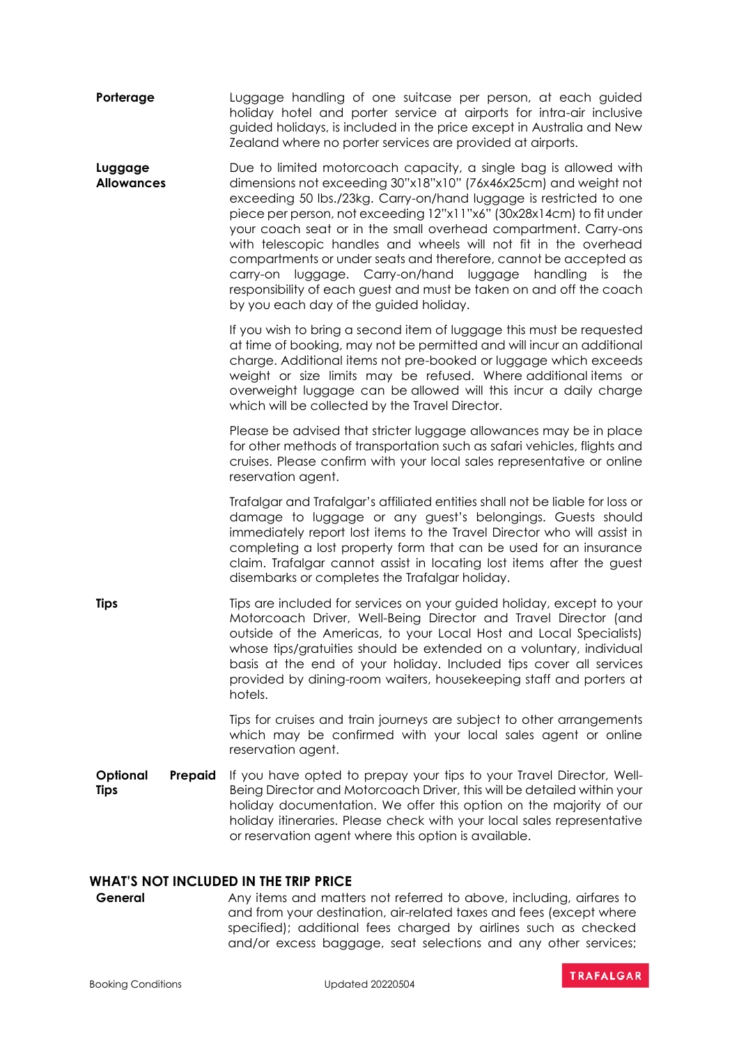| Porterage                                    | Luggage handling of one suitcase per person, at each guided<br>holiday hotel and porter service at airports for intra-air inclusive<br>guided holidays, is included in the price except in Australia and New<br>Zealand where no porter services are provided at airports.                                                                                                                                                                                                                                                                                                                                                                                                        |
|----------------------------------------------|-----------------------------------------------------------------------------------------------------------------------------------------------------------------------------------------------------------------------------------------------------------------------------------------------------------------------------------------------------------------------------------------------------------------------------------------------------------------------------------------------------------------------------------------------------------------------------------------------------------------------------------------------------------------------------------|
| Luggage<br><b>Allowances</b>                 | Due to limited motorcoach capacity, a single bag is allowed with<br>dimensions not exceeding 30"x18"x10" (76x46x25cm) and weight not<br>exceeding 50 lbs./23kg. Carry-on/hand luggage is restricted to one<br>piece per person, not exceeding 12"x11"x6" (30x28x14cm) to fit under<br>your coach seat or in the small overhead compartment. Carry-ons<br>with telescopic handles and wheels will not fit in the overhead<br>compartments or under seats and therefore, cannot be accepted as<br>carry-on luggage. Carry-on/hand luggage<br>handling<br>is<br>the<br>responsibility of each guest and must be taken on and off the coach<br>by you each day of the guided holiday. |
|                                              | If you wish to bring a second item of luggage this must be requested<br>at time of booking, may not be permitted and will incur an additional<br>charge. Additional items not pre-booked or luggage which exceeds<br>weight or size limits may be refused. Where additional items or<br>overweight luggage can be allowed will this incur a daily charge<br>which will be collected by the Travel Director.                                                                                                                                                                                                                                                                       |
|                                              | Please be advised that stricter luggage allowances may be in place<br>for other methods of transportation such as safari vehicles, flights and<br>cruises. Please confirm with your local sales representative or online<br>reservation agent.                                                                                                                                                                                                                                                                                                                                                                                                                                    |
|                                              | Trafalgar and Trafalgar's affiliated entities shall not be liable for loss or<br>damage to luggage or any guest's belongings. Guests should<br>immediately report lost items to the Travel Director who will assist in<br>completing a lost property form that can be used for an insurance<br>claim. Trafalgar cannot assist in locating lost items after the guest<br>disembarks or completes the Trafalgar holiday.                                                                                                                                                                                                                                                            |
| <b>Tips</b>                                  | Tips are included for services on your guided holiday, except to your<br>Motorcoach Driver, Well-Being Director and Travel Director (and<br>outside of the Americas, to your Local Host and Local Specialists)<br>whose tips/gratuities should be extended on a voluntary, individual<br>basis at the end of your holiday. Included tips cover all services<br>provided by dining-room waiters, housekeeping staff and porters at<br>hotels.                                                                                                                                                                                                                                      |
|                                              | Tips for cruises and train journeys are subject to other arrangements<br>which may be confirmed with your local sales agent or online<br>reservation agent.                                                                                                                                                                                                                                                                                                                                                                                                                                                                                                                       |
| Optional<br>Prepaid<br><b>Tips</b>           | If you have opted to prepay your tips to your Travel Director, Well-<br>Being Director and Motorcoach Driver, this will be detailed within your<br>holiday documentation. We offer this option on the majority of our<br>holiday itineraries. Please check with your local sales representative<br>or reservation agent where this option is available.                                                                                                                                                                                                                                                                                                                           |
| <b>WHAT'S NOT INCLUDED IN THE TRIP PRICE</b> |                                                                                                                                                                                                                                                                                                                                                                                                                                                                                                                                                                                                                                                                                   |

**General** Any items and matters not referred to above, including, airfares to and from your destination, air-related taxes and fees (except where specified); additional fees charged by airlines such as checked and/or excess baggage, seat selections and any other services;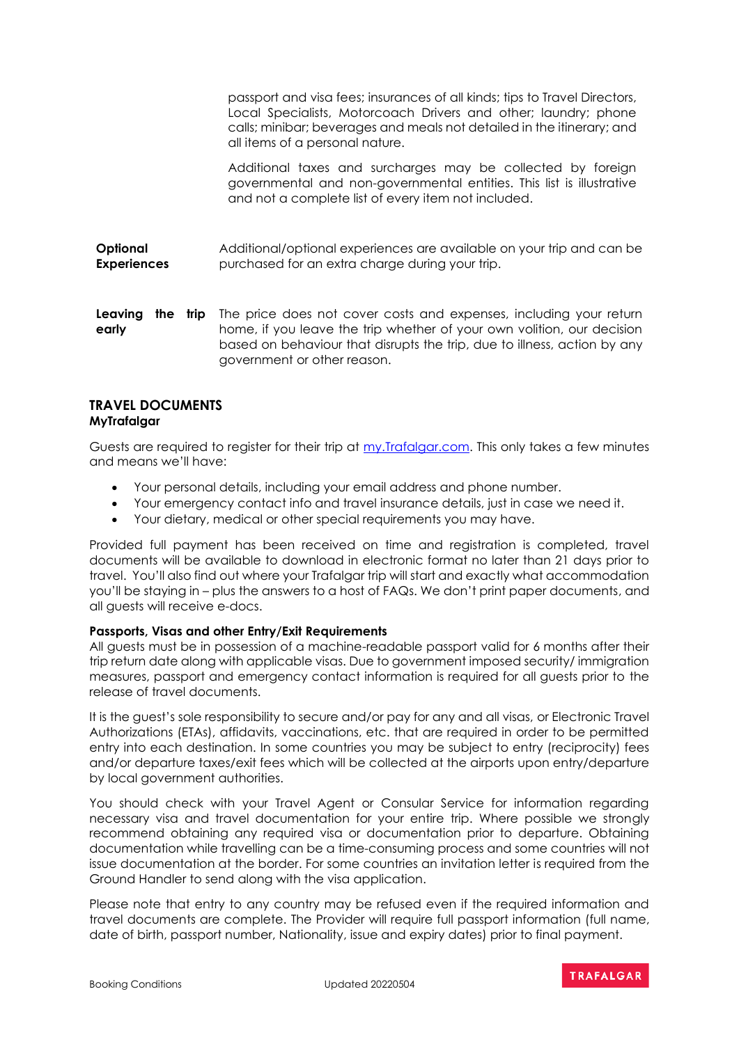passport and visa fees; insurances of all kinds; tips to Travel Directors, Local Specialists, Motorcoach Drivers and other; laundry; phone calls; minibar; beverages and meals not detailed in the itinerary; and all items of a personal nature.

Additional taxes and surcharges may be collected by foreign governmental and non-governmental entities. This list is illustrative and not a complete list of every item not included.

**Optional Experiences** Additional/optional experiences are available on your trip and can be purchased for an extra charge during your trip.

Leaving the trip The price does not cover costs and expenses, including your return **early** home, if you leave the trip whether of your own volition, our decision based on behaviour that disrupts the trip, due to illness, action by any government or other reason.

## **TRAVEL DOCUMENTS MyTrafalgar**

Guests are required to register for their trip at [my.Trafalgar.com.](https://my.trafalgar.com/) This only takes a few minutes and means we'll have:

- Your personal details, including your email address and phone number.
- Your emergency contact info and travel insurance details, just in case we need it.
- Your dietary, medical or other special requirements you may have.

Provided full payment has been received on time and registration is completed, travel documents will be available to download in electronic format no later than 21 days prior to travel. You'll also find out where your Trafalgar trip will start and exactly what accommodation you'll be staying in – plus the answers to a host of FAQs. We don't print paper documents, and all guests will receive e-docs.

## **Passports, Visas and other Entry/Exit Requirements**

All guests must be in possession of a machine-readable passport valid for 6 months after their trip return date along with applicable visas. Due to government imposed security/ immigration measures, passport and emergency contact information is required for all guests prior to the release of travel documents.

It is the guest's sole responsibility to secure and/or pay for any and all visas, or Electronic Travel Authorizations (ETAs), affidavits, vaccinations, etc. that are required in order to be permitted entry into each destination. In some countries you may be subject to entry (reciprocity) fees and/or departure taxes/exit fees which will be collected at the airports upon entry/departure by local government authorities.

You should check with your Travel Agent or Consular Service for information regarding necessary visa and travel documentation for your entire trip. Where possible we strongly recommend obtaining any required visa or documentation prior to departure. Obtaining documentation while travelling can be a time-consuming process and some countries will not issue documentation at the border. For some countries an invitation letter is required from the Ground Handler to send along with the visa application.

Please note that entry to any country may be refused even if the required information and travel documents are complete. The Provider will require full passport information (full name, date of birth, passport number, Nationality, issue and expiry dates) prior to final payment.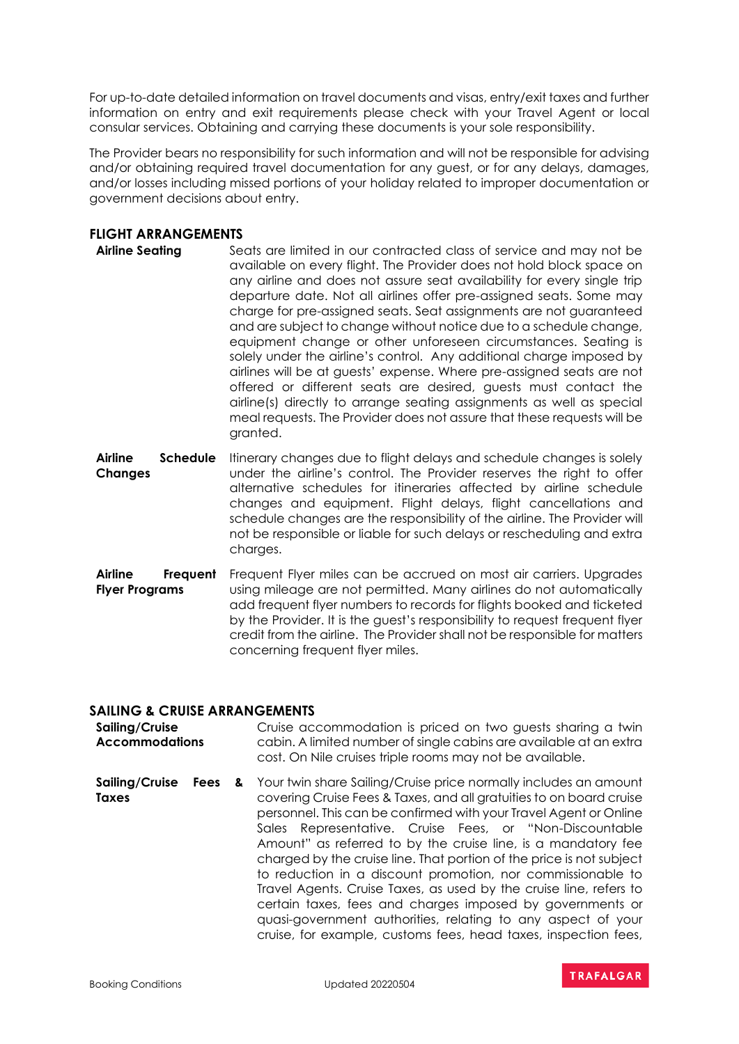For up-to-date detailed information on travel documents and visas, entry/exit taxes and further information on entry and exit requirements please check with your Travel Agent or local consular services. Obtaining and carrying these documents is your sole responsibility.

The Provider bears no responsibility for such information and will not be responsible for advising and/or obtaining required travel documentation for any guest, or for any delays, damages, and/or losses including missed portions of your holiday related to improper documentation or government decisions about entry.

## **FLIGHT ARRANGEMENTS**

- **Airline Seating** Seats are limited in our contracted class of service and may not be available on every flight. The Provider does not hold block space on any airline and does not assure seat availability for every single trip departure date. Not all airlines offer pre-assigned seats. Some may charge for pre-assigned seats. Seat assignments are not guaranteed and are subject to change without notice due to a schedule change, equipment change or other unforeseen circumstances. Seating is solely under the airline's control. Any additional charge imposed by airlines will be at guests' expense. Where pre-assigned seats are not offered or different seats are desired, guests must contact the airline(s) directly to arrange seating assignments as well as special meal requests. The Provider does not assure that these requests will be granted.
- **Airline Schedule Changes** Itinerary changes due to flight delays and schedule changes is solely under the airline's control. The Provider reserves the right to offer alternative schedules for itineraries affected by airline schedule changes and equipment. Flight delays, flight cancellations and schedule changes are the responsibility of the airline. The Provider will not be responsible or liable for such delays or rescheduling and extra charges.
- **Airline Frequent Flyer Programs** Frequent Flyer miles can be accrued on most air carriers. Upgrades using mileage are not permitted. Many airlines do not automatically add frequent flyer numbers to records for flights booked and ticketed by the Provider. It is the guest's responsibility to request frequent flyer credit from the airline. The Provider shall not be responsible for matters concerning frequent flyer miles.

## **SAILING & CRUISE ARRANGEMENTS**

| Sailing/Cruise<br><b>Accommodations</b> |             | Cruise accommodation is priced on two guests sharing a twin<br>cabin. A limited number of single cabins are available at an extra<br>cost. On Nile cruises triple rooms may not be available.                                                                                                                                                                                                                                                                                                                                                                                                                                                                                                                                                           |  |
|-----------------------------------------|-------------|---------------------------------------------------------------------------------------------------------------------------------------------------------------------------------------------------------------------------------------------------------------------------------------------------------------------------------------------------------------------------------------------------------------------------------------------------------------------------------------------------------------------------------------------------------------------------------------------------------------------------------------------------------------------------------------------------------------------------------------------------------|--|
| Sailing/Cruise<br><b>Taxes</b>          | <b>Fees</b> | & Your twin share Sailing/Cruise price normally includes an amount<br>covering Cruise Fees & Taxes, and all gratuities to on board cruise<br>personnel. This can be confirmed with your Travel Agent or Online<br>Sales Representative. Cruise Fees, or "Non-Discountable<br>Amount" as referred to by the cruise line, is a mandatory fee<br>charged by the cruise line. That portion of the price is not subject<br>to reduction in a discount promotion, nor commissionable to<br>Travel Agents. Cruise Taxes, as used by the cruise line, refers to<br>certain taxes, fees and charges imposed by governments or<br>quasi-government authorities, relating to any aspect of your<br>cruise, for example, customs fees, head taxes, inspection fees, |  |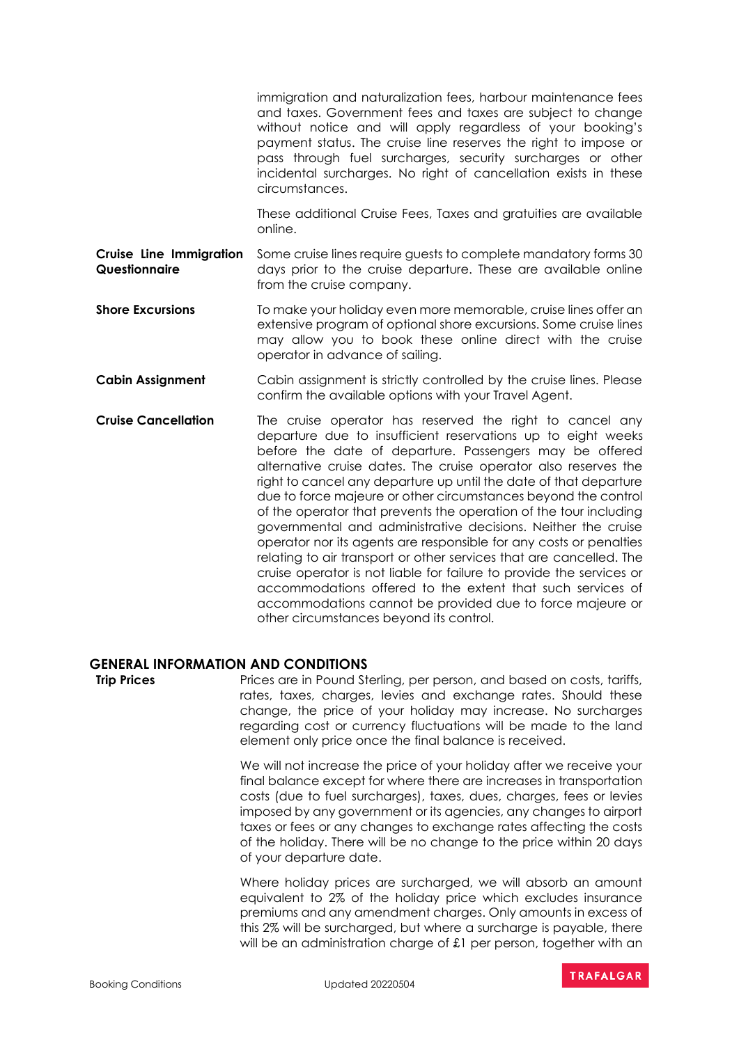immigration and naturalization fees, harbour maintenance fees and taxes. Government fees and taxes are subject to change without notice and will apply regardless of your booking's payment status. The cruise line reserves the right to impose or pass through fuel surcharges, security surcharges or other incidental surcharges. No right of cancellation exists in these circumstances.

These additional Cruise Fees, Taxes and gratuities are available online.

**Cruise Line Immigration Questionnaire** Some cruise lines require guests to complete mandatory forms 30 days prior to the cruise departure. These are available online from the cruise company.

**Shore Excursions** To make your holiday even more memorable, cruise lines offer an extensive program of optional shore excursions. Some cruise lines may allow you to book these online direct with the cruise operator in advance of sailing.

- **Cabin Assignment** Cabin assignment is strictly controlled by the cruise lines. Please confirm the available options with your Travel Agent.
- **Cruise Cancellation** The cruise operator has reserved the right to cancel any departure due to insufficient reservations up to eight weeks before the date of departure. Passengers may be offered alternative cruise dates. The cruise operator also reserves the right to cancel any departure up until the date of that departure due to force majeure or other circumstances beyond the control of the operator that prevents the operation of the tour including governmental and administrative decisions. Neither the cruise operator nor its agents are responsible for any costs or penalties relating to air transport or other services that are cancelled. The cruise operator is not liable for failure to provide the services or accommodations offered to the extent that such services of accommodations cannot be provided due to force majeure or other circumstances beyond its control.

## **GENERAL INFORMATION AND CONDITIONS**

**Trip Prices** Prices are in Pound Sterling, per person, and based on costs, tariffs, rates, taxes, charges, levies and exchange rates. Should these change, the price of your holiday may increase. No surcharges regarding cost or currency fluctuations will be made to the land element only price once the final balance is received.

> We will not increase the price of your holiday after we receive your final balance except for where there are increases in transportation costs (due to fuel surcharges), taxes, dues, charges, fees or levies imposed by any government or its agencies, any changes to airport taxes or fees or any changes to exchange rates affecting the costs of the holiday. There will be no change to the price within 20 days of your departure date.

> Where holiday prices are surcharged, we will absorb an amount equivalent to 2% of the holiday price which excludes insurance premiums and any amendment charges. Only amounts in excess of this 2% will be surcharged, but where a surcharge is payable, there will be an administration charge of £1 per person, together with an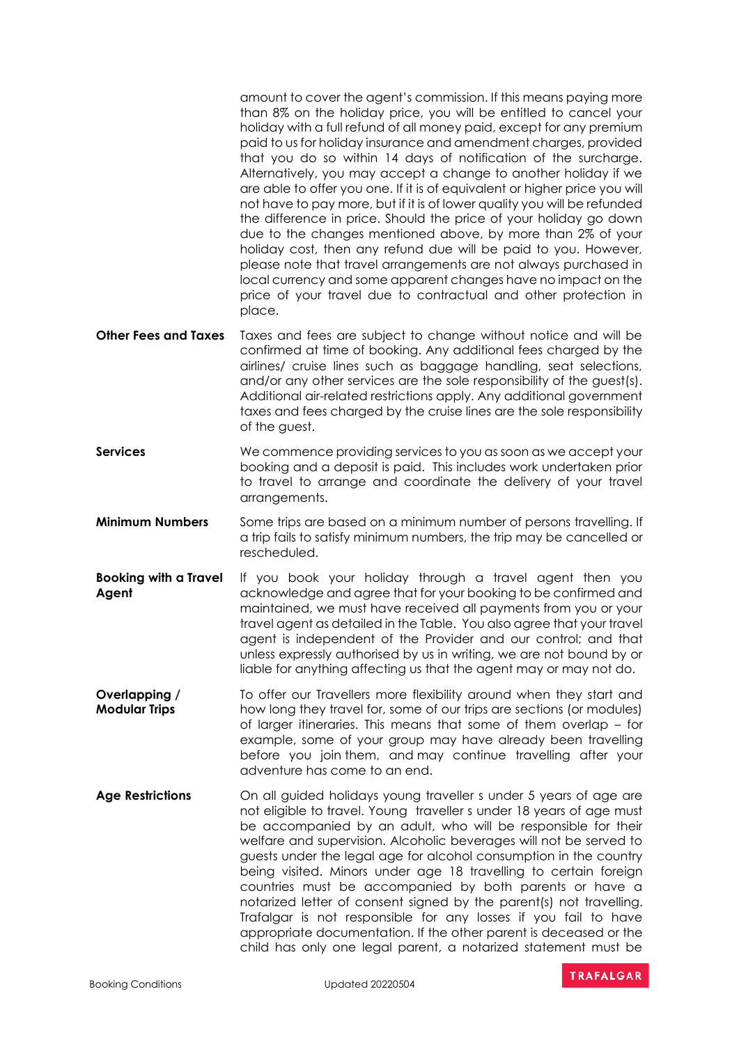amount to cover the agent's commission. If this means paying more than 8% on the holiday price, you will be entitled to cancel your holiday with a full refund of all money paid, except for any premium paid to us for holiday insurance and amendment charges, provided that you do so within 14 days of notification of the surcharge. Alternatively, you may accept a change to another holiday if we are able to offer you one. If it is of equivalent or higher price you will not have to pay more, but if it is of lower quality you will be refunded the difference in price. Should the price of your holiday go down due to the changes mentioned above, by more than 2% of your holiday cost, then any refund due will be paid to you. However, please note that travel arrangements are not always purchased in local currency and some apparent changes have no impact on the price of your travel due to contractual and other protection in place.

- **Other Fees and Taxes** Taxes and fees are subject to change without notice and will be confirmed at time of booking. Any additional fees charged by the airlines/ cruise lines such as baggage handling, seat selections, and/or any other services are the sole responsibility of the guest(s). Additional air-related restrictions apply. Any additional government taxes and fees charged by the cruise lines are the sole responsibility of the guest.
- **Services** We commence providing services to you as soon as we accept your booking and a deposit is paid. This includes work undertaken prior to travel to arrange and coordinate the delivery of your travel arrangements.
- **Minimum Numbers** Some trips are based on a minimum number of persons travelling. If a trip fails to satisfy minimum numbers, the trip may be cancelled or rescheduled.
- **Booking with a Travel Agent** If you book your holiday through a travel agent then you acknowledge and agree that for your booking to be confirmed and maintained, we must have received all payments from you or your travel agent as detailed in the Table. You also agree that your travel agent is independent of the Provider and our control; and that unless expressly authorised by us in writing, we are not bound by or liable for anything affecting us that the agent may or may not do.
- **Overlapping / Modular Trips** To offer our Travellers more flexibility around when they start and how long they travel for, some of our trips are sections (or modules) of larger itineraries. This means that some of them overlap – for example, some of your group may have already been travelling before you join them, and may continue travelling after your adventure has come to an end.
- **Age Restrictions** On all guided holidays young traveller s under 5 years of age are not eligible to travel. Young traveller s under 18 years of age must be accompanied by an adult, who will be responsible for their welfare and supervision. Alcoholic beverages will not be served to guests under the legal age for alcohol consumption in the country being visited. Minors under age 18 travelling to certain foreign countries must be accompanied by both parents or have a notarized letter of consent signed by the parent(s) not travelling. Trafalgar is not responsible for any losses if you fail to have appropriate documentation. If the other parent is deceased or the child has only one legal parent, a notarized statement must be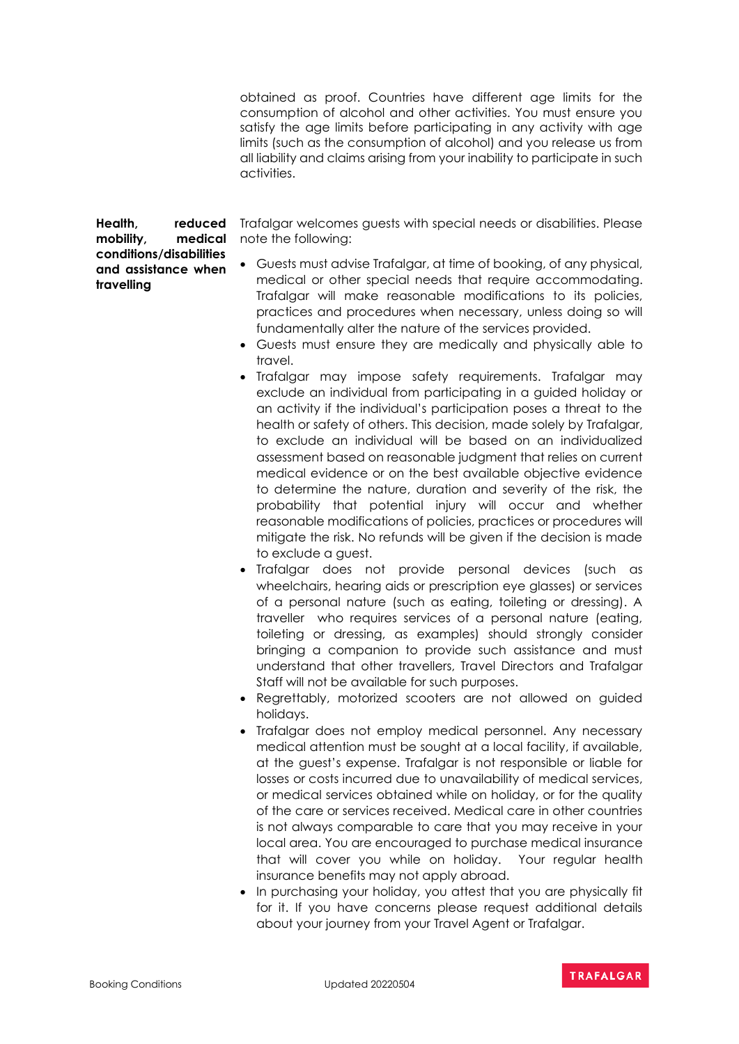obtained as proof. Countries have different age limits for the consumption of alcohol and other activities. You must ensure you satisfy the age limits before participating in any activity with age limits (such as the consumption of alcohol) and you release us from all liability and claims arising from your inability to participate in such activities.

**Health, reduced mobility, medical conditions/disabilities and assistance when travelling**

Trafalgar welcomes guests with special needs or disabilities. Please note the following:

- Guests must advise Trafalgar, at time of booking, of any physical, medical or other special needs that require accommodating. Trafalgar will make reasonable modifications to its policies, practices and procedures when necessary, unless doing so will fundamentally alter the nature of the services provided.
- Guests must ensure they are medically and physically able to travel.
- Trafalgar may impose safety requirements. Trafalgar may exclude an individual from participating in a guided holiday or an activity if the individual's participation poses a threat to the health or safety of others. This decision, made solely by Trafalgar, to exclude an individual will be based on an individualized assessment based on reasonable judgment that relies on current medical evidence or on the best available objective evidence to determine the nature, duration and severity of the risk, the probability that potential injury will occur and whether reasonable modifications of policies, practices or procedures will mitigate the risk. No refunds will be given if the decision is made to exclude a guest.
- Trafalgar does not provide personal devices (such as wheelchairs, hearing aids or prescription eye glasses) or services of a personal nature (such as eating, toileting or dressing). A traveller who requires services of a personal nature (eating, toileting or dressing, as examples) should strongly consider bringing a companion to provide such assistance and must understand that other travellers, Travel Directors and Trafalgar Staff will not be available for such purposes.
- Regrettably, motorized scooters are not allowed on guided holidays.
- Trafalgar does not employ medical personnel. Any necessary medical attention must be sought at a local facility, if available, at the guest's expense. Trafalgar is not responsible or liable for losses or costs incurred due to unavailability of medical services, or medical services obtained while on holiday, or for the quality of the care or services received. Medical care in other countries is not always comparable to care that you may receive in your local area. You are encouraged to purchase medical insurance that will cover you while on holiday. Your regular health insurance benefits may not apply abroad.
- In purchasing your holiday, you attest that you are physically fit for it. If you have concerns please request additional details about your journey from your Travel Agent or Trafalgar.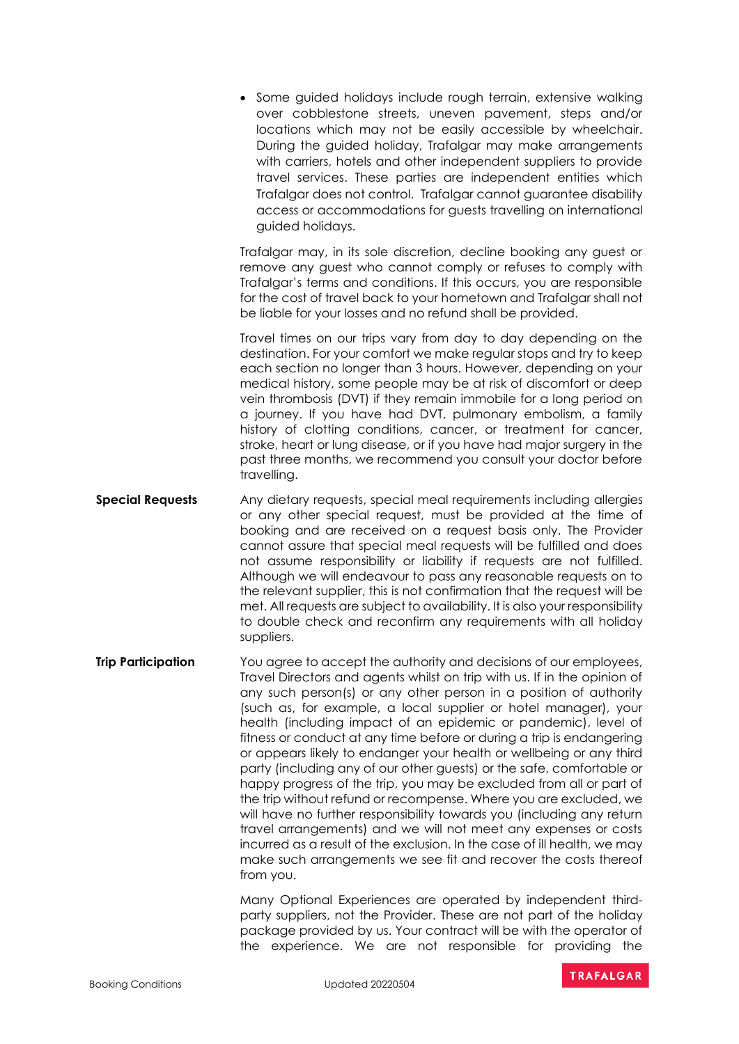• Some guided holidays include rough terrain, extensive walking over cobblestone streets, uneven pavement, steps and/or locations which may not be easily accessible by wheelchair. During the guided holiday, Trafalgar may make arrangements with carriers, hotels and other independent suppliers to provide travel services. These parties are independent entities which Trafalgar does not control. Trafalgar cannot guarantee disability access or accommodations for guests travelling on international guided holidays.

Trafalgar may, in its sole discretion, decline booking any guest or remove any guest who cannot comply or refuses to comply with Trafalgar's terms and conditions. If this occurs, you are responsible for the cost of travel back to your hometown and Trafalgar shall not be liable for your losses and no refund shall be provided.

Travel times on our trips vary from day to day depending on the destination. For your comfort we make regular stops and try to keep each section no longer than 3 hours. However, depending on your medical history, some people may be at risk of discomfort or deep vein thrombosis (DVT) if they remain immobile for a long period on a journey. If you have had DVT, pulmonary embolism, a family history of clotting conditions, cancer, or treatment for cancer, stroke, heart or lung disease, or if you have had major surgery in the past three months, we recommend you consult your doctor before travelling.

- **Special Requests** Any dietary requests, special meal requirements including allergies or any other special request, must be provided at the time of booking and are received on a request basis only. The Provider cannot assure that special meal requests will be fulfilled and does not assume responsibility or liability if requests are not fulfilled. Although we will endeavour to pass any reasonable requests on to the relevant supplier, this is not confirmation that the request will be met. All requests are subject to availability. It is also your responsibility to double check and reconfirm any requirements with all holiday suppliers.
- **Trip Participation** You agree to accept the authority and decisions of our employees, Travel Directors and agents whilst on trip with us. If in the opinion of any such person(s) or any other person in a position of authority (such as, for example, a local supplier or hotel manager), your health (including impact of an epidemic or pandemic), level of fitness or conduct at any time before or during a trip is endangering or appears likely to endanger your health or wellbeing or any third party (including any of our other guests) or the safe, comfortable or happy progress of the trip, you may be excluded from all or part of the trip without refund or recompense. Where you are excluded, we will have no further responsibility towards you (including any return travel arrangements) and we will not meet any expenses or costs incurred as a result of the exclusion. In the case of ill health, we may make such arrangements we see fit and recover the costs thereof from you.

Many Optional Experiences are operated by independent thirdparty suppliers, not the Provider. These are not part of the holiday package provided by us. Your contract will be with the operator of the experience. We are not responsible for providing the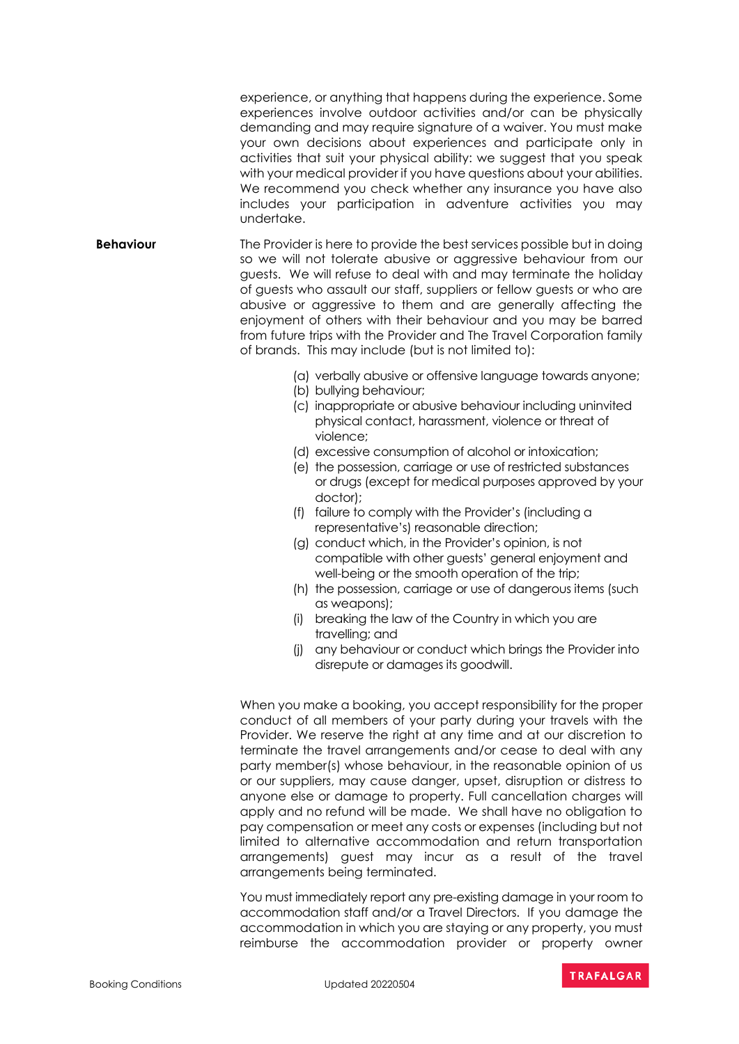experience, or anything that happens during the experience. Some experiences involve outdoor activities and/or can be physically demanding and may require signature of a waiver. You must make your own decisions about experiences and participate only in activities that suit your physical ability: we suggest that you speak with your medical provider if you have questions about your abilities. We recommend you check whether any insurance you have also includes your participation in adventure activities you may undertake.

**Behaviour** The Provider is here to provide the best services possible but in doing so we will not tolerate abusive or aggressive behaviour from our guests. We will refuse to deal with and may terminate the holiday of guests who assault our staff, suppliers or fellow guests or who are abusive or aggressive to them and are generally affecting the enjoyment of others with their behaviour and you may be barred from future trips with the Provider and The Travel Corporation family of brands. This may include (but is not limited to):

- (a) verbally abusive or offensive language towards anyone;
- (b) bullying behaviour;
- (c) inappropriate or abusive behaviour including uninvited physical contact, harassment, violence or threat of violence;
- (d) excessive consumption of alcohol or intoxication;
- (e) the possession, carriage or use of restricted substances or drugs (except for medical purposes approved by your doctor);
- (f) failure to comply with the Provider's (including a representative's) reasonable direction;
- (g) conduct which, in the Provider's opinion, is not compatible with other guests' general enjoyment and well-being or the smooth operation of the trip;
- (h) the possession, carriage or use of dangerous items (such as weapons);
- (i) breaking the law of the Country in which you are travelling; and
- (j) any behaviour or conduct which brings the Provider into disrepute or damages its goodwill.

When you make a booking, you accept responsibility for the proper conduct of all members of your party during your travels with the Provider. We reserve the right at any time and at our discretion to terminate the travel arrangements and/or cease to deal with any party member(s) whose behaviour, in the reasonable opinion of us or our suppliers, may cause danger, upset, disruption or distress to anyone else or damage to property. Full cancellation charges will apply and no refund will be made. We shall have no obligation to pay compensation or meet any costs or expenses (including but not limited to alternative accommodation and return transportation arrangements) guest may incur as a result of the travel arrangements being terminated.

You must immediately report any pre-existing damage in your room to accommodation staff and/or a Travel Directors. If you damage the accommodation in which you are staying or any property, you must reimburse the accommodation provider or property owner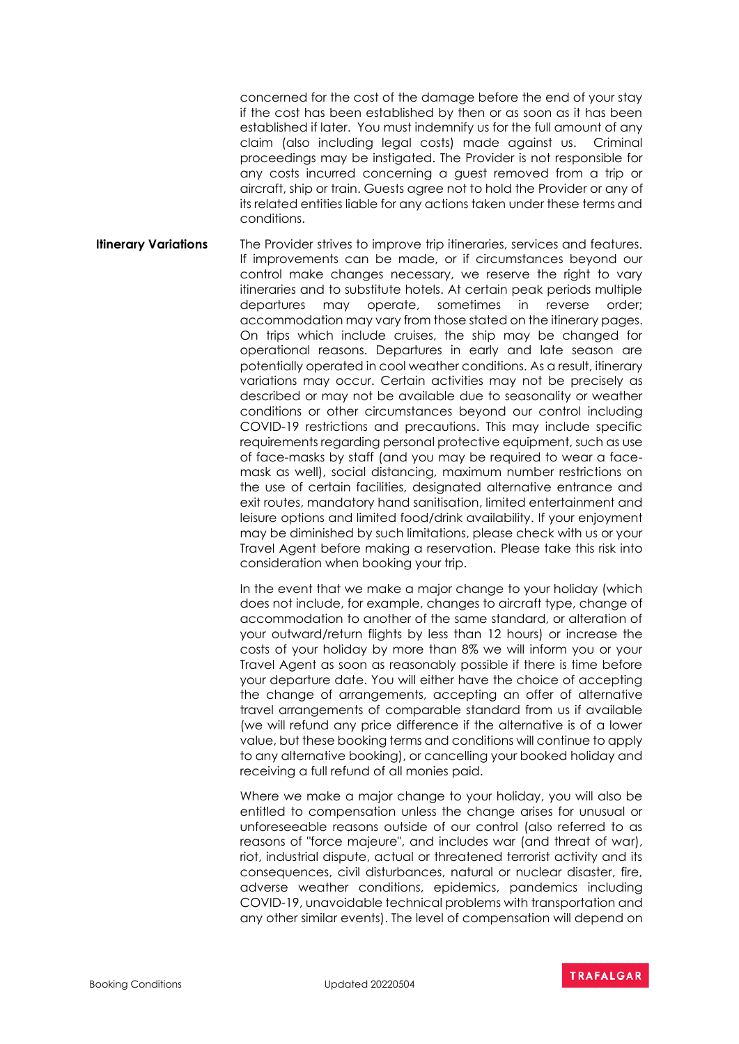concerned for the cost of the damage before the end of your stay if the cost has been established by then or as soon as it has been established if later. You must indemnify us for the full amount of any claim (also including legal costs) made against us. Criminal proceedings may be instigated. The Provider is not responsible for any costs incurred concerning a guest removed from a trip or aircraft, ship or train. Guests agree not to hold the Provider or any of its related entities liable for any actions taken under these terms and conditions.

**Itinerary Variations** The Provider strives to improve trip itineraries, services and features. If improvements can be made, or if circumstances beyond our control make changes necessary, we reserve the right to vary itineraries and to substitute hotels. At certain peak periods multiple departures may operate, sometimes in reverse order; accommodation may vary from those stated on the itinerary pages. On trips which include cruises, the ship may be changed for operational reasons. Departures in early and late season are potentially operated in cool weather conditions. As a result, itinerary variations may occur. Certain activities may not be precisely as described or may not be available due to seasonality or weather conditions or other circumstances beyond our control including COVID-19 restrictions and precautions. This may include specific requirements regarding personal protective equipment, such as use of face-masks by staff (and you may be required to wear a facemask as well), social distancing, maximum number restrictions on the use of certain facilities, designated alternative entrance and exit routes, mandatory hand sanitisation, limited entertainment and leisure options and limited food/drink availability. If your enjoyment may be diminished by such limitations, please check with us or your Travel Agent before making a reservation. Please take this risk into consideration when booking your trip.

> In the event that we make a major change to your holiday (which does not include, for example, changes to aircraft type, change of accommodation to another of the same standard, or alteration of your outward/return flights by less than 12 hours) or increase the costs of your holiday by more than 8% we will inform you or your Travel Agent as soon as reasonably possible if there is time before your departure date. You will either have the choice of accepting the change of arrangements, accepting an offer of alternative travel arrangements of comparable standard from us if available (we will refund any price difference if the alternative is of a lower value, but these booking terms and conditions will continue to apply to any alternative booking), or cancelling your booked holiday and receiving a full refund of all monies paid.

> Where we make a major change to your holiday, you will also be entitled to compensation unless the change arises for unusual or unforeseeable reasons outside of our control (also referred to as reasons of "force majeure", and includes war (and threat of war), riot, industrial dispute, actual or threatened terrorist activity and its consequences, civil disturbances, natural or nuclear disaster, fire, adverse weather conditions, epidemics, pandemics including COVID-19, unavoidable technical problems with transportation and any other similar events). The level of compensation will depend on

## **TRAFALGAR**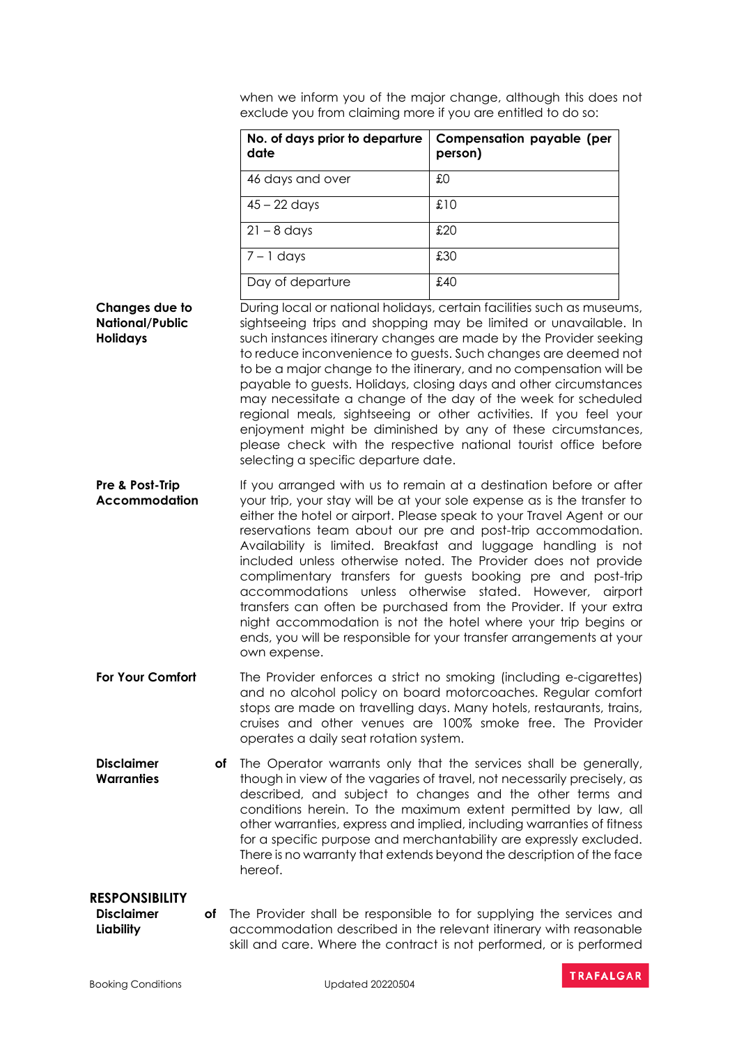| No. of days prior to departure<br>date | <b>Compensation payable (per</b><br>person) |
|----------------------------------------|---------------------------------------------|
| 46 days and over                       | £О                                          |
| $45 - 22$ days                         | £10                                         |
| $21 - 8$ days                          | £20                                         |
| $7 - 1$ days                           | £30                                         |
| Day of departure                       | £40                                         |

when we inform you of the major change, although this does not exclude you from claiming more if you are entitled to do so:

## **Changes due to National/Public Holidays**

During local or national holidays, certain facilities such as museums, sightseeing trips and shopping may be limited or unavailable. In such instances itinerary changes are made by the Provider seeking to reduce inconvenience to guests. Such changes are deemed not to be a major change to the itinerary, and no compensation will be payable to guests. Holidays, closing days and other circumstances may necessitate a change of the day of the week for scheduled regional meals, sightseeing or other activities. If you feel your enjoyment might be diminished by any of these circumstances, please check with the respective national tourist office before selecting a specific departure date.

- **Pre & Post-Trip Accommodation** If you arranged with us to remain at a destination before or after your trip, your stay will be at your sole expense as is the transfer to either the hotel or airport. Please speak to your Travel Agent or our reservations team about our pre and post-trip accommodation. Availability is limited. Breakfast and luggage handling is not included unless otherwise noted. The Provider does not provide complimentary transfers for guests booking pre and post-trip accommodations unless otherwise stated. However, airport transfers can often be purchased from the Provider. If your extra night accommodation is not the hotel where your trip begins or ends, you will be responsible for your transfer arrangements at your own expense.
- **For Your Comfort** The Provider enforces a strict no smoking (including e-cigarettes) and no alcohol policy on board motorcoaches. Regular comfort stops are made on travelling days. Many hotels, restaurants, trains, cruises and other venues are 100% smoke free. The Provider operates a daily seat rotation system.
- **Disclaimer Warranties** of The Operator warrants only that the services shall be generally, though in view of the vagaries of travel, not necessarily precisely, as described, and subject to changes and the other terms and conditions herein. To the maximum extent permitted by law, all other warranties, express and implied, including warranties of fitness for a specific purpose and merchantability are expressly excluded. There is no warranty that extends beyond the description of the face hereof.

## **RESPONSIBILITY Disclaimer Liability**

of The Provider shall be responsible to for supplying the services and accommodation described in the relevant itinerary with reasonable skill and care. Where the contract is not performed, or is performed

$$
\color{red}{\bf TRAFALGAR}
$$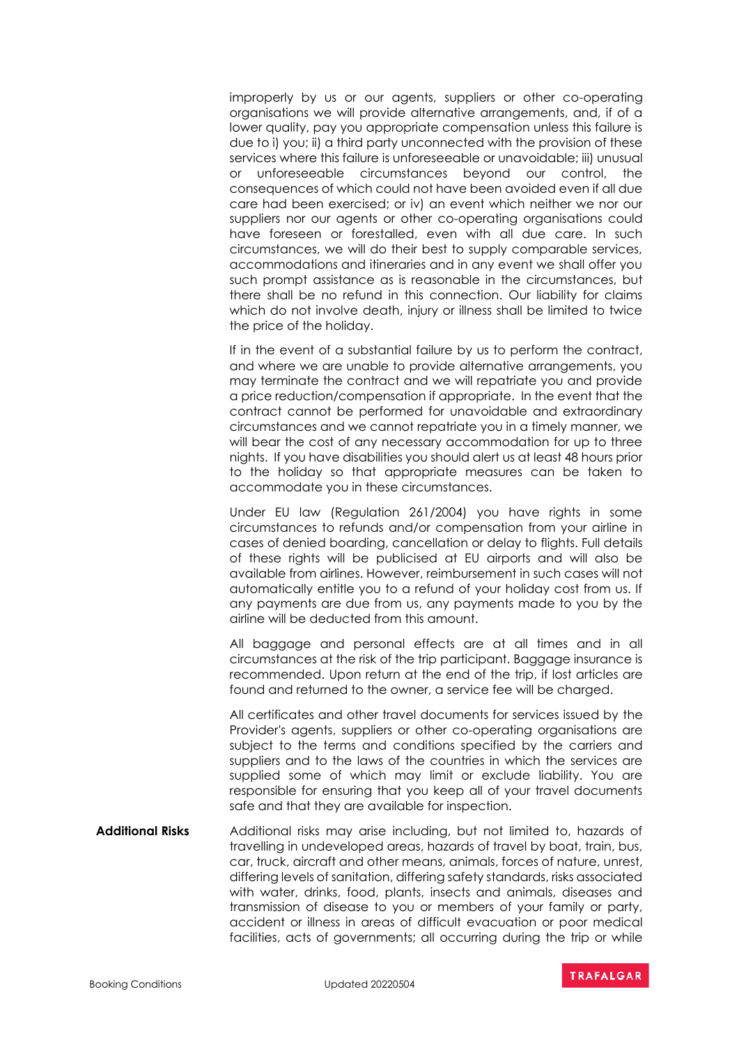improperly by us or our agents, suppliers or other co-operating organisations we will provide alternative arrangements, and, if of a lower quality, pay you appropriate compensation unless this failure is due to i) you; ii) a third party unconnected with the provision of these services where this failure is unforeseeable or unavoidable; iii) unusual or unforeseeable circumstances beyond our control, the consequences of which could not have been avoided even if all due care had been exercised; or iv) an event which neither we nor our suppliers nor our agents or other co-operating organisations could have foreseen or forestalled, even with all due care. In such circumstances, we will do their best to supply comparable services, accommodations and itineraries and in any event we shall offer you such prompt assistance as is reasonable in the circumstances, but there shall be no refund in this connection. Our liability for claims which do not involve death, injury or illness shall be limited to twice the price of the holiday.

If in the event of a substantial failure by us to perform the contract, and where we are unable to provide alternative arrangements, you may terminate the contract and we will repatriate you and provide a price reduction/compensation if appropriate. In the event that the contract cannot be performed for unavoidable and extraordinary circumstances and we cannot repatriate you in a timely manner, we will bear the cost of any necessary accommodation for up to three nights. If you have disabilities you should alert us at least 48 hours prior to the holiday so that appropriate measures can be taken to accommodate you in these circumstances.

Under EU law (Regulation 261/2004) you have rights in some circumstances to refunds and/or compensation from your airline in cases of denied boarding, cancellation or delay to flights. Full details of these rights will be publicised at EU airports and will also be available from airlines. However, reimbursement in such cases will not automatically entitle you to a refund of your holiday cost from us. If any payments are due from us, any payments made to you by the airline will be deducted from this amount.

All baggage and personal effects are at all times and in all circumstances at the risk of the trip participant. Baggage insurance is recommended. Upon return at the end of the trip, if lost articles are found and returned to the owner, a service fee will be charged.

All certificates and other travel documents for services issued by the Provider's agents, suppliers or other co-operating organisations are subject to the terms and conditions specified by the carriers and suppliers and to the laws of the countries in which the services are supplied some of which may limit or exclude liability. You are responsible for ensuring that you keep all of your travel documents safe and that they are available for inspection.

**Additional Risks** Additional risks may arise including, but not limited to, hazards of travelling in undeveloped areas, hazards of travel by boat, train, bus, car, truck, aircraft and other means, animals, forces of nature, unrest, differing levels of sanitation, differing safety standards, risks associated with water, drinks, food, plants, insects and animals, diseases and transmission of disease to you or members of your family or party, accident or illness in areas of difficult evacuation or poor medical facilities, acts of governments; all occurring during the trip or while

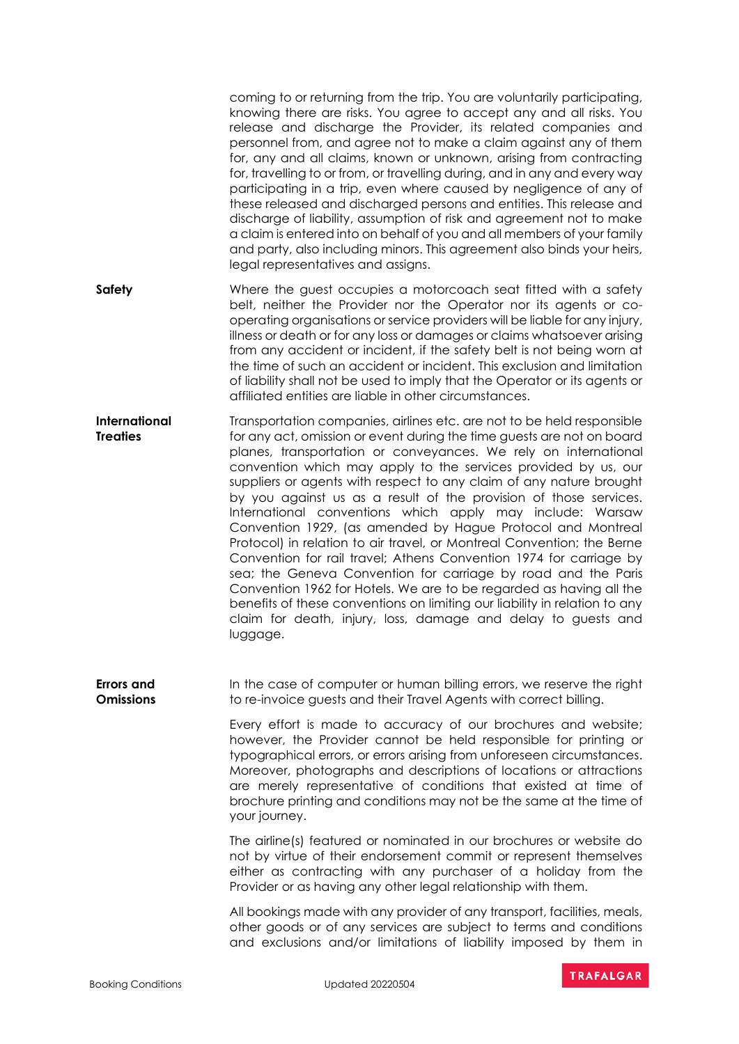coming to or returning from the trip. You are voluntarily participating, knowing there are risks. You agree to accept any and all risks. You release and discharge the Provider, its related companies and personnel from, and agree not to make a claim against any of them for, any and all claims, known or unknown, arising from contracting for, travelling to or from, or travelling during, and in any and every way participating in a trip, even where caused by negligence of any of these released and discharged persons and entities. This release and discharge of liability, assumption of risk and agreement not to make a claim is entered into on behalf of you and all members of your family and party, also including minors. This agreement also binds your heirs, legal representatives and assigns.

- **Safety** Where the guest occupies a motorcoach seat fitted with a safety belt, neither the Provider nor the Operator nor its agents or cooperating organisations or service providers will be liable for any injury, illness or death or for any loss or damages or claims whatsoever arising from any accident or incident, if the safety belt is not being worn at the time of such an accident or incident. This exclusion and limitation of liability shall not be used to imply that the Operator or its agents or affiliated entities are liable in other circumstances.
- **International Treaties** Transportation companies, airlines etc. are not to be held responsible for any act, omission or event during the time guests are not on board planes, transportation or conveyances. We rely on international convention which may apply to the services provided by us, our suppliers or agents with respect to any claim of any nature brought by you against us as a result of the provision of those services. International conventions which apply may include: Warsaw Convention 1929, (as amended by Hague Protocol and Montreal Protocol) in relation to air travel, or Montreal Convention; the Berne Convention for rail travel; Athens Convention 1974 for carriage by sea; the Geneva Convention for carriage by road and the Paris Convention 1962 for Hotels. We are to be regarded as having all the benefits of these conventions on limiting our liability in relation to any claim for death, injury, loss, damage and delay to guests and luggage.

**Errors and Omissions** In the case of computer or human billing errors, we reserve the right to re-invoice guests and their Travel Agents with correct billing.

> Every effort is made to accuracy of our brochures and website; however, the Provider cannot be held responsible for printing or typographical errors, or errors arising from unforeseen circumstances. Moreover, photographs and descriptions of locations or attractions are merely representative of conditions that existed at time of brochure printing and conditions may not be the same at the time of your journey.

> The airline(s) featured or nominated in our brochures or website do not by virtue of their endorsement commit or represent themselves either as contracting with any purchaser of a holiday from the Provider or as having any other legal relationship with them.

> All bookings made with any provider of any transport, facilities, meals, other goods or of any services are subject to terms and conditions and exclusions and/or limitations of liability imposed by them in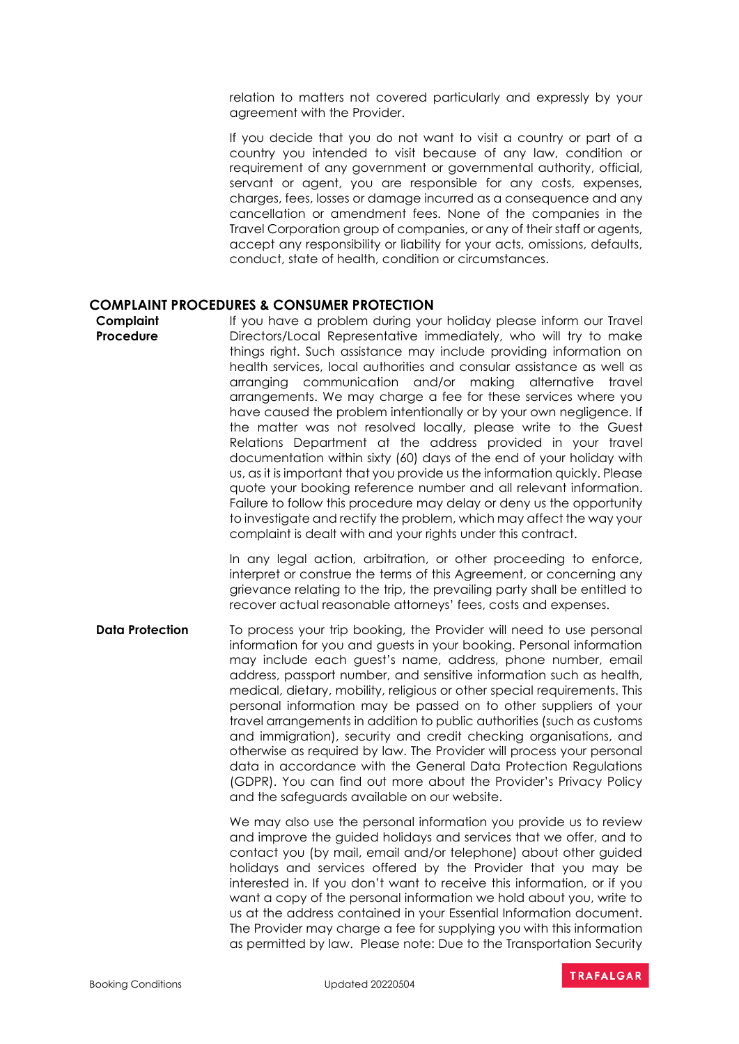relation to matters not covered particularly and expressly by your agreement with the Provider.

If you decide that you do not want to visit a country or part of a country you intended to visit because of any law, condition or requirement of any government or governmental authority, official, servant or agent, you are responsible for any costs, expenses, charges, fees, losses or damage incurred as a consequence and any cancellation or amendment fees. None of the companies in the Travel Corporation group of companies, or any of their staff or agents, accept any responsibility or liability for your acts, omissions, defaults, conduct, state of health, condition or circumstances.

## **COMPLAINT PROCEDURES & CONSUMER PROTECTION**

**Complaint Procedure** If you have a problem during your holiday please inform our Travel Directors/Local Representative immediately, who will try to make things right. Such assistance may include providing information on health services, local authorities and consular assistance as well as arranging communication and/or making alternative travel arrangements. We may charge a fee for these services where you have caused the problem intentionally or by your own negligence. If the matter was not resolved locally, please write to the Guest Relations Department at the address provided in your travel documentation within sixty (60) days of the end of your holiday with us, as it is important that you provide us the information quickly. Please quote your booking reference number and all relevant information. Failure to follow this procedure may delay or deny us the opportunity to investigate and rectify the problem, which may affect the way your complaint is dealt with and your rights under this contract.

> In any legal action, arbitration, or other proceeding to enforce, interpret or construe the terms of this Agreement, or concerning any grievance relating to the trip, the prevailing party shall be entitled to recover actual reasonable attorneys' fees, costs and expenses.

**Data Protection** To process your trip booking, the Provider will need to use personal information for you and guests in your booking. Personal information may include each guest's name, address, phone number, email address, passport number, and sensitive information such as health, medical, dietary, mobility, religious or other special requirements. This personal information may be passed on to other suppliers of your travel arrangements in addition to public authorities (such as customs and immigration), security and credit checking organisations, and otherwise as required by law. The Provider will process your personal data in accordance with the General Data Protection Regulations (GDPR). You can find out more about the Provider's Privacy Policy and the safeguards available on our website.

> We may also use the personal information you provide us to review and improve the guided holidays and services that we offer, and to contact you (by mail, email and/or telephone) about other guided holidays and services offered by the Provider that you may be interested in. If you don't want to receive this information, or if you want a copy of the personal information we hold about you, write to us at the address contained in your Essential Information document. The Provider may charge a fee for supplying you with this information as permitted by law. Please note: Due to the Transportation Security

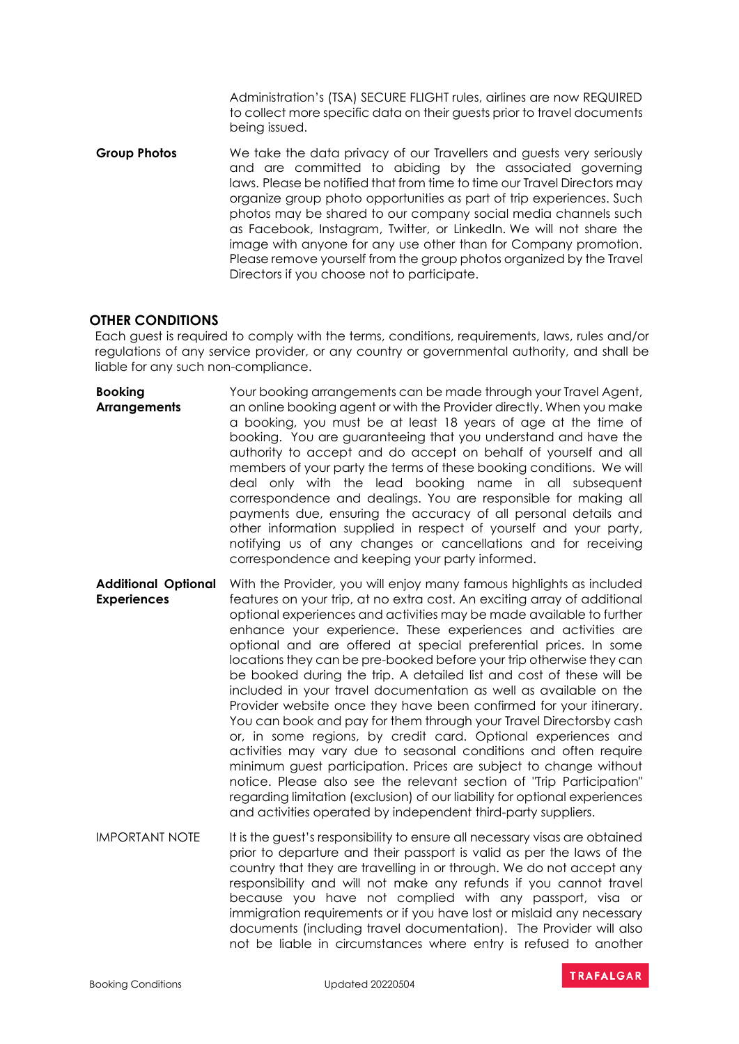Administration's (TSA) SECURE FLIGHT rules, airlines are now REQUIRED to collect more specific data on their guests prior to travel documents being issued.

**Group Photos** We take the data privacy of our Travellers and guests very seriously and are committed to abiding by the associated governing laws. Please be notified that from time to time our Travel Directors may organize group photo opportunities as part of trip experiences. Such photos may be shared to our company social media channels such as Facebook, Instagram, Twitter, or LinkedIn. We will not share the image with anyone for any use other than for Company promotion. Please remove yourself from the group photos organized by the Travel Directors if you choose not to participate.

## **OTHER CONDITIONS**

Each guest is required to comply with the terms, conditions, requirements, laws, rules and/or regulations of any service provider, or any country or governmental authority, and shall be liable for any such non-compliance.

- **Booking Arrangements** Your booking arrangements can be made through your Travel Agent, an online booking agent or with the Provider directly. When you make a booking, you must be at least 18 years of age at the time of booking. You are guaranteeing that you understand and have the authority to accept and do accept on behalf of yourself and all members of your party the terms of these booking conditions. We will deal only with the lead booking name in all subsequent correspondence and dealings. You are responsible for making all payments due, ensuring the accuracy of all personal details and other information supplied in respect of yourself and your party, notifying us of any changes or cancellations and for receiving correspondence and keeping your party informed.
- **Additional Optional Experiences** With the Provider, you will enjoy many famous highlights as included features on your trip, at no extra cost. An exciting array of additional optional experiences and activities may be made available to further enhance your experience. These experiences and activities are optional and are offered at special preferential prices. In some locations they can be pre-booked before your trip otherwise they can be booked during the trip. A detailed list and cost of these will be included in your travel documentation as well as available on the Provider website once they have been confirmed for your itinerary. You can book and pay for them through your Travel Directorsby cash or, in some regions, by credit card. Optional experiences and activities may vary due to seasonal conditions and often require minimum guest participation. Prices are subject to change without notice. Please also see the relevant section of "Trip Participation" regarding limitation (exclusion) of our liability for optional experiences and activities operated by independent third-party suppliers.
- IMPORTANT NOTE It is the quest's responsibility to ensure all necessary visas are obtained prior to departure and their passport is valid as per the laws of the country that they are travelling in or through. We do not accept any responsibility and will not make any refunds if you cannot travel because you have not complied with any passport, visa or immigration requirements or if you have lost or mislaid any necessary documents (including travel documentation). The Provider will also not be liable in circumstances where entry is refused to another